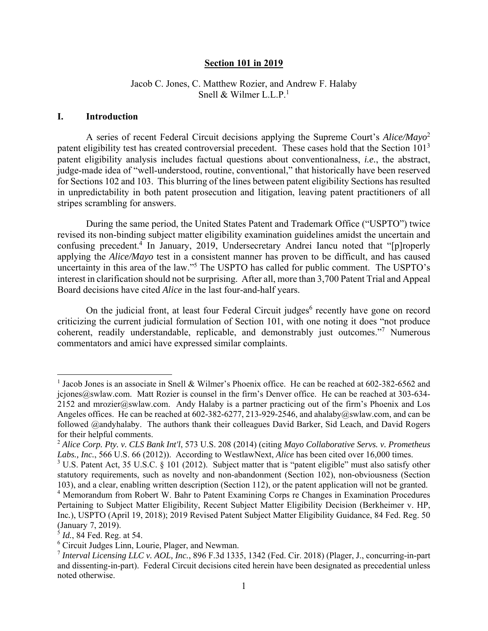#### **Section 101 in 2019**

### Jacob C. Jones, C. Matthew Rozier, and Andrew F. Halaby Snell & Wilmer L.L. $P<sup>1</sup>$

#### **I. Introduction**

A series of recent Federal Circuit decisions applying the Supreme Court's *Alice/Mayo*<sup>2</sup> patent eligibility test has created controversial precedent. These cases hold that the Section 101<sup>3</sup> patent eligibility analysis includes factual questions about conventionalness, *i.e.*, the abstract, judge-made idea of "well-understood, routine, conventional," that historically have been reserved for Sections 102 and 103. This blurring of the lines between patent eligibility Sections has resulted in unpredictability in both patent prosecution and litigation, leaving patent practitioners of all stripes scrambling for answers.

During the same period, the United States Patent and Trademark Office ("USPTO") twice revised its non-binding subject matter eligibility examination guidelines amidst the uncertain and confusing precedent.<sup>4</sup> In January, 2019, Undersecretary Andrei Iancu noted that "[p]roperly applying the *Alice/Mayo* test in a consistent manner has proven to be difficult, and has caused uncertainty in this area of the law."<sup>5</sup> The USPTO has called for public comment. The USPTO's interest in clarification should not be surprising. After all, more than 3,700 Patent Trial and Appeal Board decisions have cited *Alice* in the last four-and-half years.

On the judicial front, at least four Federal Circuit judges<sup>6</sup> recently have gone on record criticizing the current judicial formulation of Section 101, with one noting it does "not produce coherent, readily understandable, replicable, and demonstrably just outcomes."<sup>7</sup> Numerous commentators and amici have expressed similar complaints.

<sup>&</sup>lt;sup>1</sup> Jacob Jones is an associate in Snell & Wilmer's Phoenix office. He can be reached at 602-382-6562 and jcjones@swlaw.com. Matt Rozier is counsel in the firm's Denver office. He can be reached at 303-634-2152 and mrozier@swlaw.com. Andy Halaby is a partner practicing out of the firm's Phoenix and Los Angeles offices. He can be reached at 602-382-6277, 213-929-2546, and ahalaby@swlaw.com, and can be followed @andyhalaby. The authors thank their colleagues David Barker, Sid Leach, and David Rogers for their helpful comments.

<sup>2</sup> *Alice Corp. Pty. v. CLS Bank Int'l*, 573 U.S. 208 (2014) (citing *Mayo Collaborative Servs. v. Prometheus Labs., Inc.*, 566 U.S. 66 (2012)). According to WestlawNext, *Alice* has been cited over 16,000 times.

<sup>&</sup>lt;sup>3</sup> U.S. Patent Act, 35 U.S.C. § 101 (2012). Subject matter that is "patent eligible" must also satisfy other statutory requirements, such as novelty and non-abandonment (Section 102), non-obviousness (Section 103), and a clear, enabling written description (Section 112), or the patent application will not be granted. <sup>4</sup> Memorandum from Robert W. Bahr to Patent Examining Corps re Changes in Examination Procedures Pertaining to Subject Matter Eligibility, Recent Subject Matter Eligibility Decision (Berkheimer v. HP, Inc*.*), USPTO (April 19, 2018); 2019 Revised Patent Subject Matter Eligibility Guidance, 84 Fed. Reg. 50 (January 7, 2019).

<sup>5</sup> *Id.*, 84 Fed. Reg. at 54.

<sup>6</sup> Circuit Judges Linn, Lourie, Plager, and Newman.

<sup>7</sup> *Interval Licensing LLC v. AOL, Inc.*, 896 F.3d 1335, 1342 (Fed. Cir. 2018) (Plager, J., concurring-in-part and dissenting-in-part). Federal Circuit decisions cited herein have been designated as precedential unless noted otherwise.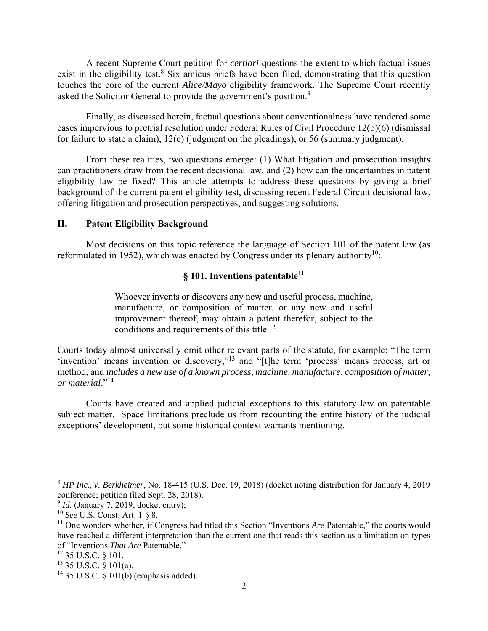A recent Supreme Court petition for *certiori* questions the extent to which factual issues exist in the eligibility test.<sup>8</sup> Six amicus briefs have been filed, demonstrating that this question touches the core of the current *Alice/Mayo* eligibility framework. The Supreme Court recently asked the Solicitor General to provide the government's position.<sup>9</sup>

Finally, as discussed herein, factual questions about conventionalness have rendered some cases impervious to pretrial resolution under Federal Rules of Civil Procedure 12(b)(6) (dismissal for failure to state a claim), 12(c) (judgment on the pleadings), or 56 (summary judgment).

From these realities, two questions emerge: (1) What litigation and prosecution insights can practitioners draw from the recent decisional law, and (2) how can the uncertainties in patent eligibility law be fixed? This article attempts to address these questions by giving a brief background of the current patent eligibility test, discussing recent Federal Circuit decisional law, offering litigation and prosecution perspectives, and suggesting solutions.

#### **II. Patent Eligibility Background**

Most decisions on this topic reference the language of Section 101 of the patent law (as reformulated in 1952), which was enacted by Congress under its plenary authority<sup>10</sup>:

# **§ 101. Inventions patentable**<sup>11</sup>

Whoever invents or discovers any new and useful process, machine, manufacture, or composition of matter, or any new and useful improvement thereof, may obtain a patent therefor, subject to the conditions and requirements of this title.<sup>12</sup>

Courts today almost universally omit other relevant parts of the statute, for example: "The term 'invention' means invention or discovery,"13 and "[t]he term 'process' means process, art or method, and *includes a new use of a known process, machine, manufacture, composition of matter, or material*."14

Courts have created and applied judicial exceptions to this statutory law on patentable subject matter. Space limitations preclude us from recounting the entire history of the judicial exceptions' development, but some historical context warrants mentioning.

<sup>8</sup> *HP Inc., v. Berkheimer*, No. 18-415 (U.S. Dec. 19, 2018) (docket noting distribution for January 4, 2019 conference; petition filed Sept. 28, 2018).

<sup>&</sup>lt;sup>9</sup> *Id.* (January 7, 2019, docket entry);

<sup>10</sup> *See* U.S. Const. Art. 1 § 8.

<sup>&</sup>lt;sup>11</sup> One wonders whether, if Congress had titled this Section "Inventions *Are* Patentable," the courts would have reached a different interpretation than the current one that reads this section as a limitation on types of "Inventions *That Are* Patentable."

 $12$  35 U.S.C. § 101.

 $13$  35 U.S.C. § 101(a).

<sup>&</sup>lt;sup>14</sup> 35 U.S.C.  $\hat{\S}$  101(b) (emphasis added).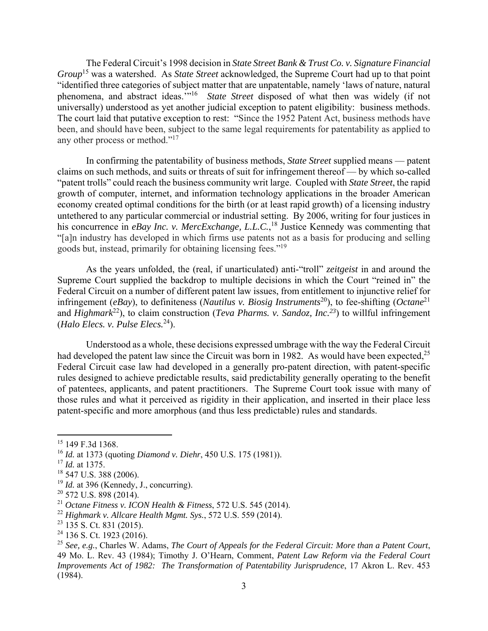The Federal Circuit's 1998 decision in *State Street Bank & Trust Co. v. Signature Financial Group*<sup>15</sup> was a watershed. As *State Street* acknowledged, the Supreme Court had up to that point "identified three categories of subject matter that are unpatentable, namely 'laws of nature, natural phenomena, and abstract ideas.'"16 *State Street* disposed of what then was widely (if not universally) understood as yet another judicial exception to patent eligibility: business methods. The court laid that putative exception to rest: "Since the 1952 Patent Act, business methods have been, and should have been, subject to the same legal requirements for patentability as applied to any other process or method."17

In confirming the patentability of business methods, *State Street* supplied means — patent claims on such methods, and suits or threats of suit for infringement thereof — by which so-called "patent trolls" could reach the business community writ large. Coupled with *State Street*, the rapid growth of computer, internet, and information technology applications in the broader American economy created optimal conditions for the birth (or at least rapid growth) of a licensing industry untethered to any particular commercial or industrial setting. By 2006, writing for four justices in his concurrence in *eBay Inc. v. MercExchange, L.L.C.*, 18 Justice Kennedy was commenting that "[a]n industry has developed in which firms use patents not as a basis for producing and selling goods but, instead, primarily for obtaining licensing fees."19

As the years unfolded, the (real, if unarticulated) anti-"troll" *zeitgeist* in and around the Supreme Court supplied the backdrop to multiple decisions in which the Court "reined in" the Federal Circuit on a number of different patent law issues, from entitlement to injunctive relief for infringement (*eBay*), to definiteness (*Nautilus v. Biosig Instruments*<sup>20</sup>), to fee-shifting (*Octane*<sup>21</sup>) and *Highmark*<sup>22</sup>), to claim construction (*Teva Pharms. v. Sandoz, Inc.*<sup>23</sup>) to willful infringement (*Halo Elecs. v. Pulse Elecs.*24).

Understood as a whole, these decisions expressed umbrage with the way the Federal Circuit had developed the patent law since the Circuit was born in 1982. As would have been expected,<sup>25</sup> Federal Circuit case law had developed in a generally pro-patent direction, with patent-specific rules designed to achieve predictable results, said predictability generally operating to the benefit of patentees, applicants, and patent practitioners. The Supreme Court took issue with many of those rules and what it perceived as rigidity in their application, and inserted in their place less patent-specific and more amorphous (and thus less predictable) rules and standards.

<sup>&</sup>lt;sup>15</sup> 149 F.3d 1368.

<sup>16</sup> *Id.* at 1373 (quoting *Diamond v. Diehr*, 450 U.S. 175 (1981)).

<sup>17</sup> *Id.* at 1375.

<sup>&</sup>lt;sup>18</sup> 547 U.S. 388 (2006).

<sup>&</sup>lt;sup>19</sup> *Id.* at 396 (Kennedy, J., concurring).

 $20$  572 U.S. 898 (2014).

<sup>21</sup> *Octane Fitness v. ICON Health & Fitness*, 572 U.S. 545 (2014).

<sup>22</sup> *Highmark v. Allcare Health Mgmt. Sys.*, 572 U.S. 559 (2014).

 $23$  135 S. Ct. 831 (2015).

<sup>&</sup>lt;sup>24</sup> 136 S. Ct. 1923 (2016).

<sup>25</sup> *See, e.g.*, Charles W. Adams, *The Court of Appeals for the Federal Circuit: More than a Patent Court*, 49 Mo. L. Rev. 43 (1984); Timothy J. O'Hearn, Comment, *Patent Law Reform via the Federal Court Improvements Act of 1982: The Transformation of Patentability Jurisprudence*, 17 Akron L. Rev. 453 (1984).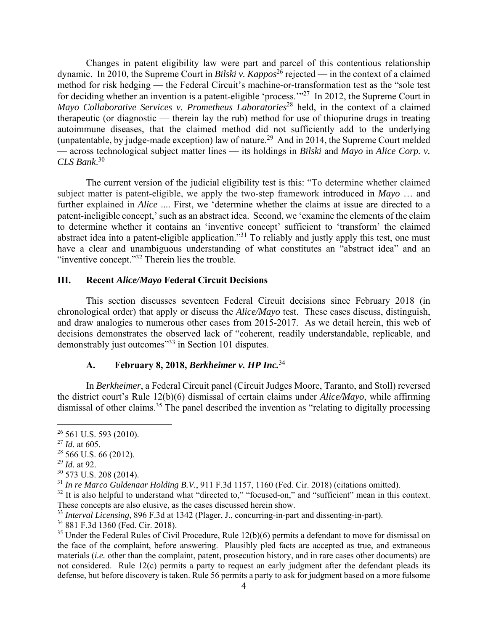Changes in patent eligibility law were part and parcel of this contentious relationship dynamic. In 2010, the Supreme Court in *Bilski v. Kappos*<sup>26</sup> rejected — in the context of a claimed method for risk hedging — the Federal Circuit's machine-or-transformation test as the "sole test for deciding whether an invention is a patent-eligible 'process.'"27 In 2012, the Supreme Court in *Mayo Collaborative Services v. Prometheus Laboratories*<sup>28</sup> held, in the context of a claimed therapeutic (or diagnostic — therein lay the rub) method for use of thiopurine drugs in treating autoimmune diseases, that the claimed method did not sufficiently add to the underlying (unpatentable, by judge-made exception) law of nature.<sup>29</sup> And in 2014, the Supreme Court melded — across technological subject matter lines — its holdings in *Bilski* and *Mayo* in *Alice Corp. v. CLS Bank*. 30

The current version of the judicial eligibility test is this: "To determine whether claimed subject matter is patent-eligible, we apply the two-step framework introduced in *Mayo* … and further explained in *Alice* .... First, we 'determine whether the claims at issue are directed to a patent-ineligible concept,' such as an abstract idea. Second, we 'examine the elements of the claim to determine whether it contains an 'inventive concept' sufficient to 'transform' the claimed abstract idea into a patent-eligible application."<sup>31</sup> To reliably and justly apply this test, one must have a clear and unambiguous understanding of what constitutes an "abstract idea" and an "inventive concept."<sup>32</sup> Therein lies the trouble.

#### **III. Recent** *Alice/Mayo* **Federal Circuit Decisions**

This section discusses seventeen Federal Circuit decisions since February 2018 (in chronological order) that apply or discuss the *Alice/Mayo* test. These cases discuss, distinguish, and draw analogies to numerous other cases from 2015-2017. As we detail herein, this web of decisions demonstrates the observed lack of "coherent, readily understandable, replicable, and demonstrably just outcomes<sup>"33</sup> in Section 101 disputes.

### **A. February 8, 2018,** *Berkheimer v. HP Inc.*<sup>34</sup>

In *Berkheimer*, a Federal Circuit panel (Circuit Judges Moore, Taranto, and Stoll) reversed the district court's Rule 12(b)(6) dismissal of certain claims under *Alice/Mayo*, while affirming dismissal of other claims.<sup>35</sup> The panel described the invention as "relating to digitally processing

1

 $32$  It is also helpful to understand what "directed to," "focused-on," and "sufficient" mean in this context. These concepts are also elusive, as the cases discussed herein show.

<sup>&</sup>lt;sup>26</sup> 561 U.S. 593 (2010).

<sup>27</sup> *Id.* at 605.

 $28$  566 U.S. 66 (2012).

<sup>29</sup> *Id.* at 92.

<sup>30 573</sup> U.S. 208 (2014).

<sup>31</sup> *In re Marco Guldenaar Holding B.V.*, 911 F.3d 1157, 1160 (Fed. Cir. 2018) (citations omitted).

<sup>33</sup> *Interval Licensing*, 896 F.3d at 1342 (Plager, J., concurring-in-part and dissenting-in-part).

<sup>34 881</sup> F.3d 1360 (Fed. Cir. 2018).

 $35$  Under the Federal Rules of Civil Procedure, Rule 12(b)(6) permits a defendant to move for dismissal on the face of the complaint, before answering. Plausibly pled facts are accepted as true, and extraneous materials (*i.e.* other than the complaint, patent, prosecution history, and in rare cases other documents) are not considered. Rule 12(c) permits a party to request an early judgment after the defendant pleads its defense, but before discovery is taken. Rule 56 permits a party to ask for judgment based on a more fulsome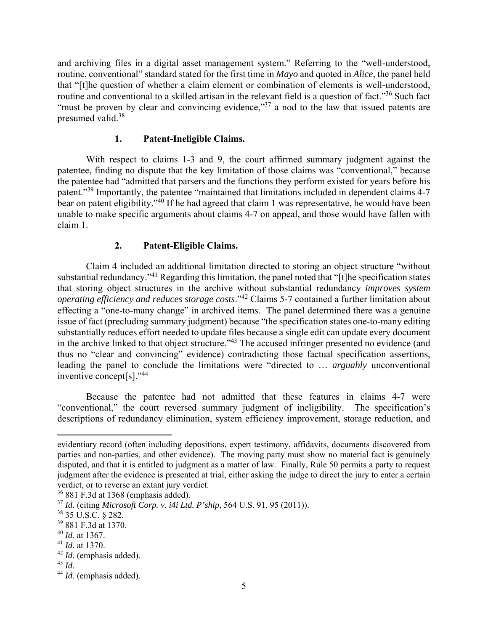and archiving files in a digital asset management system." Referring to the "well-understood, routine, conventional" standard stated for the first time in *Mayo* and quoted in *Alice*, the panel held that "[t]he question of whether a claim element or combination of elements is well-understood, routine and conventional to a skilled artisan in the relevant field is a question of fact."<sup>36</sup> Such fact "must be proven by clear and convincing evidence,"<sup>37</sup> a nod to the law that issued patents are presumed valid.38

#### **1. Patent-Ineligible Claims.**

With respect to claims 1-3 and 9, the court affirmed summary judgment against the patentee, finding no dispute that the key limitation of those claims was "conventional," because the patentee had "admitted that parsers and the functions they perform existed for years before his patent."39 Importantly, the patentee "maintained that limitations included in dependent claims 4-7 bear on patent eligibility."<sup>40</sup> If he had agreed that claim 1 was representative, he would have been unable to make specific arguments about claims 4-7 on appeal, and those would have fallen with claim 1.

### **2. Patent-Eligible Claims.**

Claim 4 included an additional limitation directed to storing an object structure "without substantial redundancy."<sup>41</sup> Regarding this limitation, the panel noted that "[t]he specification states that storing object structures in the archive without substantial redundancy *improves system operating efficiency and reduces storage costs*."42 Claims 5-7 contained a further limitation about effecting a "one-to-many change" in archived items. The panel determined there was a genuine issue of fact (precluding summary judgment) because "the specification states one-to-many editing substantially reduces effort needed to update files because a single edit can update every document in the archive linked to that object structure."43 The accused infringer presented no evidence (and thus no "clear and convincing" evidence) contradicting those factual specification assertions, leading the panel to conclude the limitations were "directed to … *arguably* unconventional inventive concept[s]."44

Because the patentee had not admitted that these features in claims 4-7 were "conventional," the court reversed summary judgment of ineligibility. The specification's descriptions of redundancy elimination, system efficiency improvement, storage reduction, and

evidentiary record (often including depositions, expert testimony, affidavits, documents discovered from parties and non-parties, and other evidence). The moving party must show no material fact is genuinely disputed, and that it is entitled to judgment as a matter of law. Finally, Rule 50 permits a party to request judgment after the evidence is presented at trial, either asking the judge to direct the jury to enter a certain verdict, or to reverse an extant jury verdict.

<sup>36 881</sup> F.3d at 1368 (emphasis added).

<sup>37</sup> *Id*. (citing *Microsoft Corp. v. i4i Ltd. P'ship*, 564 U.S. 91, 95 (2011)).

<sup>38 35</sup> U.S.C. § 282.

<sup>39 881</sup> F.3d at 1370.

<sup>40</sup> *Id*. at 1367.

<sup>41</sup> *Id.* at 1370.

 $^{42}$  *Id*. (emphasis added).<br> $^{43}$  *Id*.

<sup>&</sup>lt;sup>44</sup> *Id*. (emphasis added).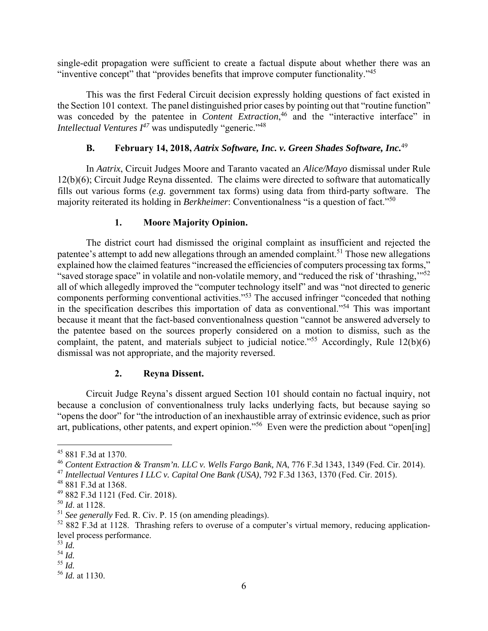single-edit propagation were sufficient to create a factual dispute about whether there was an "inventive concept" that "provides benefits that improve computer functionality."45

This was the first Federal Circuit decision expressly holding questions of fact existed in the Section 101 context. The panel distinguished prior cases by pointing out that "routine function" was conceded by the patentee in *Content Extraction*,<sup>46</sup> and the "interactive interface" in *Intellectual Ventures I<sup>47</sup>* was undisputedly "generic."<sup>48</sup>

#### **B. February 14, 2018,** *Aatrix Software, Inc. v. Green Shades Software, Inc.*<sup>49</sup>

In *Aatrix*, Circuit Judges Moore and Taranto vacated an *Alice/Mayo* dismissal under Rule 12(b)(6); Circuit Judge Reyna dissented. The claims were directed to software that automatically fills out various forms (*e.g.* government tax forms) using data from third-party software. The majority reiterated its holding in *Berkheimer*: Conventionalness "is a question of fact."<sup>50</sup>

#### **1. Moore Majority Opinion.**

The district court had dismissed the original complaint as insufficient and rejected the patentee's attempt to add new allegations through an amended complaint.<sup>51</sup> Those new allegations explained how the claimed features "increased the efficiencies of computers processing tax forms," "saved storage space" in volatile and non-volatile memory, and "reduced the risk of 'thrashing,"<sup>52</sup> all of which allegedly improved the "computer technology itself" and was "not directed to generic components performing conventional activities."53 The accused infringer "conceded that nothing in the specification describes this importation of data as conventional."54 This was important because it meant that the fact-based conventionalness question "cannot be answered adversely to the patentee based on the sources properly considered on a motion to dismiss, such as the complaint, the patent, and materials subject to judicial notice."<sup>55</sup> Accordingly, Rule  $12(b)(6)$ dismissal was not appropriate, and the majority reversed.

#### **2. Reyna Dissent.**

Circuit Judge Reyna's dissent argued Section 101 should contain no factual inquiry, not because a conclusion of conventionalness truly lacks underlying facts, but because saying so "opens the door" for "the introduction of an inexhaustible array of extrinsic evidence, such as prior art, publications, other patents, and expert opinion."56 Even were the prediction about "open[ing]

<sup>45 881</sup> F.3d at 1370.

<sup>46</sup> *Content Extraction & Transm'n. LLC v. Wells Fargo Bank, NA*, 776 F.3d 1343, 1349 (Fed. Cir. 2014).

<sup>47</sup> *Intellectual Ventures I LLC v. Capital One Bank (USA)*, 792 F.3d 1363, 1370 (Fed. Cir. 2015).

<sup>48 881</sup> F.3d at 1368.

<sup>49 882</sup> F.3d 1121 (Fed. Cir. 2018).

<sup>50</sup> *Id*. at 1128.

<sup>51</sup> *See generally* Fed. R. Civ. P. 15 (on amending pleadings).

<sup>52 882</sup> F.3d at 1128. Thrashing refers to overuse of a computer's virtual memory, reducing applicationlevel process performance.

<sup>53</sup> *Id.*

<sup>54</sup> *Id.*

<sup>55</sup> *Id.*

<sup>56</sup> *Id.* at 1130.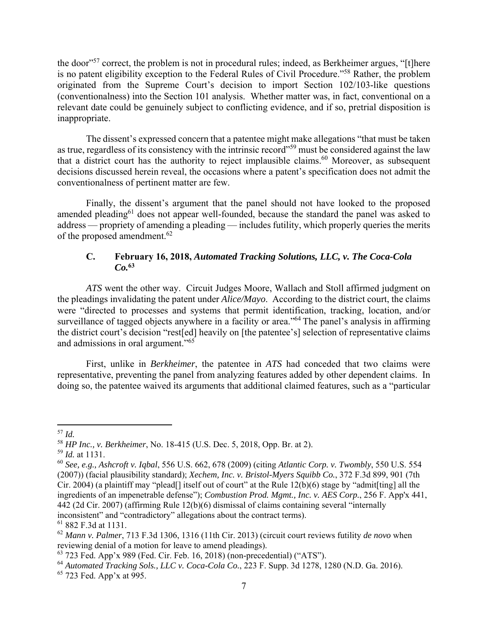the door"57 correct, the problem is not in procedural rules; indeed, as Berkheimer argues, "[t]here is no patent eligibility exception to the Federal Rules of Civil Procedure."58 Rather, the problem originated from the Supreme Court's decision to import Section 102/103-like questions (conventionalness) into the Section 101 analysis. Whether matter was, in fact, conventional on a relevant date could be genuinely subject to conflicting evidence, and if so, pretrial disposition is inappropriate.

The dissent's expressed concern that a patentee might make allegations "that must be taken as true, regardless of its consistency with the intrinsic record"59 must be considered against the law that a district court has the authority to reject implausible claims.<sup>60</sup> Moreover, as subsequent decisions discussed herein reveal, the occasions where a patent's specification does not admit the conventionalness of pertinent matter are few.

Finally, the dissent's argument that the panel should not have looked to the proposed amended pleading<sup>61</sup> does not appear well-founded, because the standard the panel was asked to address — propriety of amending a pleading — includes futility, which properly queries the merits of the proposed amendment.<sup>62</sup>

# **C. February 16, 2018,** *Automated Tracking Solutions, LLC, v. The Coca-Cola Co.***<sup>63</sup>**

*ATS* went the other way. Circuit Judges Moore, Wallach and Stoll affirmed judgment on the pleadings invalidating the patent under *Alice/Mayo*. According to the district court, the claims were "directed to processes and systems that permit identification, tracking, location, and/or surveillance of tagged objects anywhere in a facility or area."<sup>64</sup> The panel's analysis in affirming the district court's decision "rest[ed] heavily on [the patentee's] selection of representative claims and admissions in oral argument."<sup>65</sup>

First, unlike in *Berkheimer*, the patentee in *ATS* had conceded that two claims were representative, preventing the panel from analyzing features added by other dependent claims. In doing so, the patentee waived its arguments that additional claimed features, such as a "particular

 $\overline{a}$ <sup>57</sup> *Id.*

<sup>58</sup> *HP Inc., v. Berkheimer*, No. 18-415 (U.S. Dec. 5, 2018, Opp. Br. at 2).

<sup>59</sup> *Id.* at 1131.

<sup>60</sup> *See, e.g., Ashcroft v. Iqbal*, 556 U.S. 662, 678 (2009) (citing *Atlantic Corp. v. Twombly*, 550 U.S. 554 (2007)) (facial plausibility standard); *Xechem, Inc. v. Bristol-Myers Squibb Co.*, 372 F.3d 899, 901 (7th Cir. 2004) (a plaintiff may "plead[] itself out of court" at the Rule 12(b)(6) stage by "admit[ting] all the ingredients of an impenetrable defense"); *Combustion Prod. Mgmt., Inc. v. AES Corp.*, 256 F. App'x 441, 442 (2d Cir. 2007) (affirming Rule 12(b)(6) dismissal of claims containing several "internally inconsistent" and "contradictory" allegations about the contract terms).

<sup>61 882</sup> F.3d at 1131.

<sup>62</sup> *Mann v. Palmer*, 713 F.3d 1306, 1316 (11th Cir. 2013) (circuit court reviews futility *de novo* when reviewing denial of a motion for leave to amend pleadings).

<sup>63 723</sup> Fed. App'x 989 (Fed. Cir. Feb. 16, 2018) (non-precedential) ("ATS").

<sup>64</sup> *Automated Tracking Sols., LLC v. Coca-Cola Co.*, 223 F. Supp. 3d 1278, 1280 (N.D. Ga. 2016). 65 723 Fed. App'x at 995.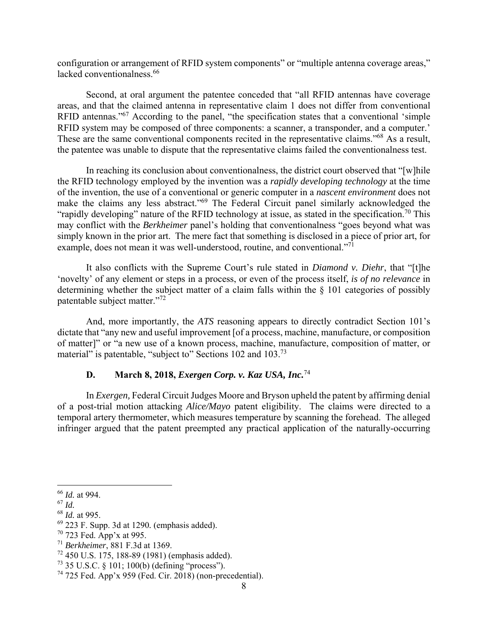configuration or arrangement of RFID system components" or "multiple antenna coverage areas," lacked conventionalness.<sup>66</sup>

Second, at oral argument the patentee conceded that "all RFID antennas have coverage areas, and that the claimed antenna in representative claim 1 does not differ from conventional RFID antennas."<sup>67</sup> According to the panel, "the specification states that a conventional 'simple RFID system may be composed of three components: a scanner, a transponder, and a computer.' These are the same conventional components recited in the representative claims."<sup>68</sup> As a result, the patentee was unable to dispute that the representative claims failed the conventionalness test.

In reaching its conclusion about conventionalness, the district court observed that "[w]hile the RFID technology employed by the invention was a *rapidly developing technology* at the time of the invention, the use of a conventional or generic computer in a *nascent environment* does not make the claims any less abstract."<sup>69</sup> The Federal Circuit panel similarly acknowledged the "rapidly developing" nature of the RFID technology at issue, as stated in the specification.<sup>70</sup> This may conflict with the *Berkheimer* panel's holding that conventionalness "goes beyond what was simply known in the prior art. The mere fact that something is disclosed in a piece of prior art, for example, does not mean it was well-understood, routine, and conventional."<sup>71</sup>

It also conflicts with the Supreme Court's rule stated in *Diamond v. Diehr*, that "[t]he 'novelty' of any element or steps in a process, or even of the process itself, *is of no relevance* in determining whether the subject matter of a claim falls within the § 101 categories of possibly patentable subject matter."<sup>72</sup>

And, more importantly, the *ATS* reasoning appears to directly contradict Section 101's dictate that "any new and useful improvement [of a process, machine, manufacture, or composition of matter]" or "a new use of a known process, machine, manufacture, composition of matter, or material" is patentable, "subject to" Sections 102 and 103.<sup>73</sup>

# **D. March 8, 2018,** *Exergen Corp. v. Kaz USA, Inc.*<sup>74</sup>

In *Exergen,* Federal Circuit Judges Moore and Bryson upheld the patent by affirming denial of a post-trial motion attacking *Alice/Mayo* patent eligibility. The claims were directed to a temporal artery thermometer, which measures temperature by scanning the forehead. The alleged infringer argued that the patent preempted any practical application of the naturally-occurring

 $\overline{a}$ <sup>66</sup> *Id.* at 994.

<sup>67</sup> *Id.*

<sup>68</sup> *Id.* at 995.

<sup>69 223</sup> F. Supp. 3d at 1290*.* (emphasis added).

 $70$  723 Fed. App'x at 995.

<sup>71</sup> *Berkheimer*, 881 F.3d at 1369.

 $72$  450 U.S. 175, 188-89 (1981) (emphasis added).

<sup>73 35</sup> U.S.C. § 101; 100(b) (defining "process").

<sup>74 725</sup> Fed. App'x 959 (Fed. Cir. 2018) (non-precedential).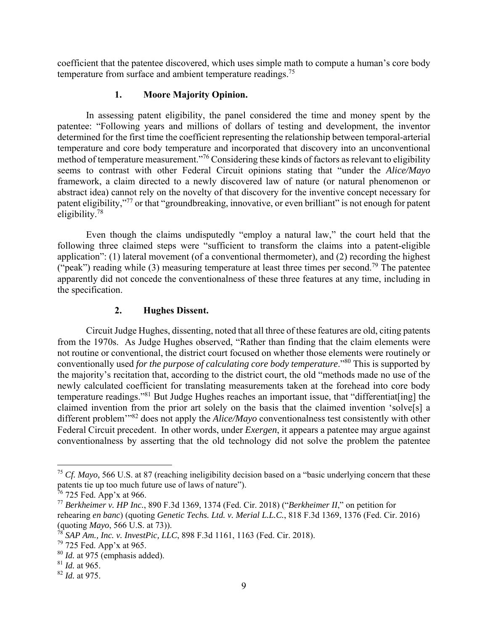coefficient that the patentee discovered, which uses simple math to compute a human's core body temperature from surface and ambient temperature readings.<sup>75</sup>

# **1. Moore Majority Opinion.**

In assessing patent eligibility, the panel considered the time and money spent by the patentee: "Following years and millions of dollars of testing and development, the inventor determined for the first time the coefficient representing the relationship between temporal-arterial temperature and core body temperature and incorporated that discovery into an unconventional method of temperature measurement."76 Considering these kinds of factors as relevant to eligibility seems to contrast with other Federal Circuit opinions stating that "under the *Alice/Mayo* framework, a claim directed to a newly discovered law of nature (or natural phenomenon or abstract idea) cannot rely on the novelty of that discovery for the inventive concept necessary for patent eligibility,"77 or that "groundbreaking, innovative, or even brilliant" is not enough for patent eligibility.78

Even though the claims undisputedly "employ a natural law," the court held that the following three claimed steps were "sufficient to transform the claims into a patent-eligible application": (1) lateral movement (of a conventional thermometer), and (2) recording the highest ("peak") reading while (3) measuring temperature at least three times per second.<sup>79</sup> The patentee apparently did not concede the conventionalness of these three features at any time, including in the specification.

## **2. Hughes Dissent.**

Circuit Judge Hughes, dissenting, noted that all three of these features are old, citing patents from the 1970s. As Judge Hughes observed, "Rather than finding that the claim elements were not routine or conventional, the district court focused on whether those elements were routinely or conventionally used *for the purpose of calculating core body temperature*."80 This is supported by the majority's recitation that, according to the district court, the old "methods made no use of the newly calculated coefficient for translating measurements taken at the forehead into core body temperature readings."81 But Judge Hughes reaches an important issue, that "differentiat[ing] the claimed invention from the prior art solely on the basis that the claimed invention 'solve[s] a different problem'"82 does not apply the *Alice/Mayo* conventionalness test consistently with other Federal Circuit precedent. In other words, under *Exergen*, it appears a patentee may argue against conventionalness by asserting that the old technology did not solve the problem the patentee

<sup>&</sup>lt;sup>75</sup> *Cf. Mayo,* 566 U.S. at 87 (reaching ineligibility decision based on a "basic underlying concern that these patents tie up too much future use of laws of nature").

 $76$  725 Fed. App'x at 966.

<sup>77</sup> *Berkheimer v. HP Inc.*, 890 F.3d 1369, 1374 (Fed. Cir. 2018) ("*Berkheimer II*," on petition for rehearing *en banc*) (quoting *Genetic Techs. Ltd. v. Merial L.L.C.*, 818 F.3d 1369, 1376 (Fed. Cir. 2016) (quoting *Mayo*, 566 U.S. at 73)).

<sup>78</sup> *SAP Am., Inc. v. InvestPic, LLC*, 898 F.3d 1161, 1163 (Fed. Cir. 2018).

<sup>79 725</sup> Fed. App'x at 965.

<sup>80</sup> *Id.* at 975 (emphasis added).

<sup>81</sup> *Id.* at 965.

<sup>82</sup> *Id.* at 975.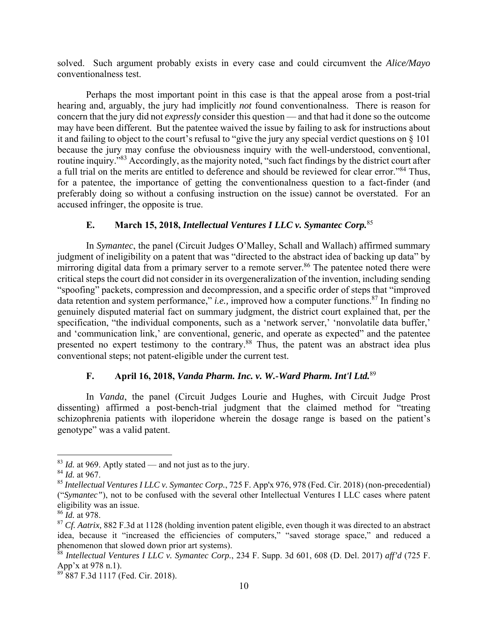solved. Such argument probably exists in every case and could circumvent the *Alice/Mayo*  conventionalness test.

Perhaps the most important point in this case is that the appeal arose from a post-trial hearing and, arguably, the jury had implicitly *not* found conventionalness. There is reason for concern that the jury did not *expressly* consider this question — and that had it done so the outcome may have been different. But the patentee waived the issue by failing to ask for instructions about it and failing to object to the court's refusal to "give the jury any special verdict questions on § 101 because the jury may confuse the obviousness inquiry with the well-understood, conventional, routine inquiry."83 Accordingly, as the majority noted, "such fact findings by the district court after a full trial on the merits are entitled to deference and should be reviewed for clear error."<sup>84</sup> Thus, for a patentee, the importance of getting the conventionalness question to a fact-finder (and preferably doing so without a confusing instruction on the issue) cannot be overstated. For an accused infringer, the opposite is true.

# **E. March 15, 2018,** *Intellectual Ventures I LLC v. Symantec Corp.*<sup>85</sup>

In *Symantec*, the panel (Circuit Judges O'Malley, Schall and Wallach) affirmed summary judgment of ineligibility on a patent that was "directed to the abstract idea of backing up data" by mirroring digital data from a primary server to a remote server.<sup>86</sup> The patentee noted there were critical steps the court did not consider in its overgeneralization of the invention, including sending "spoofing" packets, compression and decompression, and a specific order of steps that "improved data retention and system performance," *i.e.*, improved how a computer functions.<sup>87</sup> In finding no genuinely disputed material fact on summary judgment, the district court explained that, per the specification, "the individual components, such as a 'network server,' 'nonvolatile data buffer,' and 'communication link,' are conventional, generic, and operate as expected" and the patentee presented no expert testimony to the contrary.88 Thus, the patent was an abstract idea plus conventional steps; not patent-eligible under the current test.

# **F. April 16, 2018,** *Vanda Pharm. Inc. v. W.-Ward Pharm. Int'l Ltd.*<sup>89</sup>

In *Vanda*, the panel (Circuit Judges Lourie and Hughes, with Circuit Judge Prost dissenting) affirmed a post-bench-trial judgment that the claimed method for "treating schizophrenia patients with iloperidone wherein the dosage range is based on the patient's genotype" was a valid patent.

 $83$  *Id.* at 969. Aptly stated — and not just as to the jury.

<sup>84</sup> *Id.* at 967.

<sup>85</sup> *Intellectual Ventures I LLC v. Symantec Corp.*, 725 F. App'x 976, 978 (Fed. Cir. 2018) (non-precedential) ("*Symantec"*), not to be confused with the several other Intellectual Ventures I LLC cases where patent eligibility was an issue.

<sup>86</sup> *Id.* at 978.

<sup>87</sup> *Cf. Aatrix,* 882 F.3d at 1128 (holding invention patent eligible, even though it was directed to an abstract idea, because it "increased the efficiencies of computers," "saved storage space," and reduced a phenomenon that slowed down prior art systems).

<sup>88</sup> *Intellectual Ventures I LLC v. Symantec Corp.*, 234 F. Supp. 3d 601, 608 (D. Del. 2017) *aff'd* (725 F. App'x at 978 n.1).

<sup>&</sup>lt;sup>89</sup> 887 F.3d 1117 (Fed. Cir. 2018).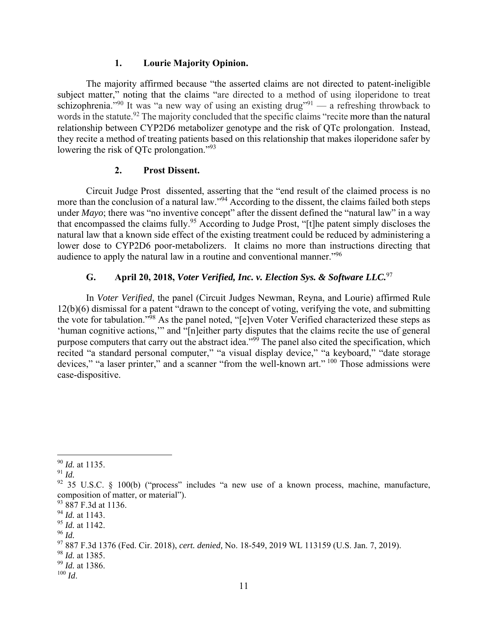#### **1. Lourie Majority Opinion.**

The majority affirmed because "the asserted claims are not directed to patent-ineligible subject matter," noting that the claims "are directed to a method of using iloperidone to treat schizophrenia."<sup>90</sup> It was "a new way of using an existing drug"<sup>91</sup> — a refreshing throwback to words in the statute.<sup>92</sup> The majority concluded that the specific claims "recite more than the natural" relationship between CYP2D6 metabolizer genotype and the risk of QTc prolongation. Instead, they recite a method of treating patients based on this relationship that makes iloperidone safer by lowering the risk of QTc prolongation."<sup>93</sup>

#### **2. Prost Dissent.**

Circuit Judge Prost dissented, asserting that the "end result of the claimed process is no more than the conclusion of a natural law."<sup>94</sup> According to the dissent, the claims failed both steps under *Mayo*; there was "no inventive concept" after the dissent defined the "natural law" in a way that encompassed the claims fully.95 According to Judge Prost, "[t]he patent simply discloses the natural law that a known side effect of the existing treatment could be reduced by administering a lower dose to CYP2D6 poor-metabolizers. It claims no more than instructions directing that audience to apply the natural law in a routine and conventional manner."<sup>96</sup>

# **G. April 20, 2018,** *Voter Verified, Inc. v. Election Sys. & Software LLC.*<sup>97</sup>

In *Voter Verified*, the panel (Circuit Judges Newman, Reyna, and Lourie) affirmed Rule 12(b)(6) dismissal for a patent "drawn to the concept of voting, verifying the vote, and submitting the vote for tabulation."98 As the panel noted, "[e]ven Voter Verified characterized these steps as 'human cognitive actions,'" and "[n]either party disputes that the claims recite the use of general purpose computers that carry out the abstract idea."99 The panel also cited the specification, which recited "a standard personal computer," "a visual display device," "a keyboard," "date storage devices," "a laser printer," and a scanner "from the well-known art." <sup>100</sup> Those admissions were case-dispositive.

<sup>1</sup> <sup>90</sup> *Id.* at 1135.

<sup>91</sup> *Id.*

<sup>&</sup>lt;sup>92</sup> 35 U.S.C. § 100(b) ("process" includes "a new use of a known process, machine, manufacture, composition of matter, or material").

<sup>93 887</sup> F.3d at 1136.

<sup>94</sup> *Id.* at 1143.

<sup>95</sup> *Id.* at 1142.

<sup>96</sup> *Id.*

<sup>97 887</sup> F.3d 1376 (Fed. Cir. 2018), *cert. denied,* No. 18-549, 2019 WL 113159 (U.S. Jan. 7, 2019).

<sup>98</sup> *Id.* at 1385.

<sup>99</sup> *Id.* at 1386.

 $^{100}\,$   $ld.$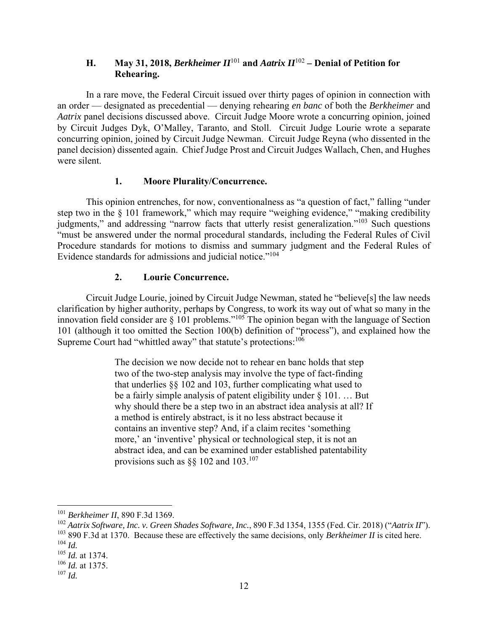# **H. May 31, 2018,** *Berkheimer*  $II^{101}$  **and** *Aatrix*  $II^{102}$  *– Denial of Petition for* **Rehearing.**

In a rare move, the Federal Circuit issued over thirty pages of opinion in connection with an order — designated as precedential — denying rehearing *en banc* of both the *Berkheimer* and *Aatrix* panel decisions discussed above. Circuit Judge Moore wrote a concurring opinion, joined by Circuit Judges Dyk, O'Malley, Taranto, and Stoll. Circuit Judge Lourie wrote a separate concurring opinion, joined by Circuit Judge Newman. Circuit Judge Reyna (who dissented in the panel decision) dissented again. Chief Judge Prost and Circuit Judges Wallach, Chen, and Hughes were silent.

## **1. Moore Plurality/Concurrence.**

This opinion entrenches, for now, conventionalness as "a question of fact," falling "under step two in the § 101 framework," which may require "weighing evidence," "making credibility judgments," and addressing "narrow facts that utterly resist generalization."103 Such questions "must be answered under the normal procedural standards, including the Federal Rules of Civil Procedure standards for motions to dismiss and summary judgment and the Federal Rules of Evidence standards for admissions and judicial notice."<sup>104</sup>

## **2. Lourie Concurrence.**

Circuit Judge Lourie, joined by Circuit Judge Newman, stated he "believe[s] the law needs clarification by higher authority, perhaps by Congress, to work its way out of what so many in the innovation field consider are § 101 problems."105 The opinion began with the language of Section 101 (although it too omitted the Section 100(b) definition of "process"), and explained how the Supreme Court had "whittled away" that statute's protections:<sup>106</sup>

> The decision we now decide not to rehear en banc holds that step two of the two-step analysis may involve the type of fact-finding that underlies §§ 102 and 103, further complicating what used to be a fairly simple analysis of patent eligibility under § 101. … But why should there be a step two in an abstract idea analysis at all? If a method is entirely abstract, is it no less abstract because it contains an inventive step? And, if a claim recites 'something more,' an 'inventive' physical or technological step, it is not an abstract idea, and can be examined under established patentability provisions such as  $\S$ § 102 and 103.<sup>107</sup>

<sup>101</sup> *Berkheimer II*, 890 F.3d 1369.

<sup>102</sup> *Aatrix Software, Inc. v. Green Shades Software, Inc.*, 890 F.3d 1354, 1355 (Fed. Cir. 2018) ("*Aatrix II*").

<sup>103 890</sup> F.3d at 1370. Because these are effectively the same decisions, only *Berkheimer II* is cited here. <sup>104</sup> *Id.*

<sup>105</sup> *Id.* at 1374.

<sup>106</sup> *Id.* at 1375.

<sup>107</sup> *Id.*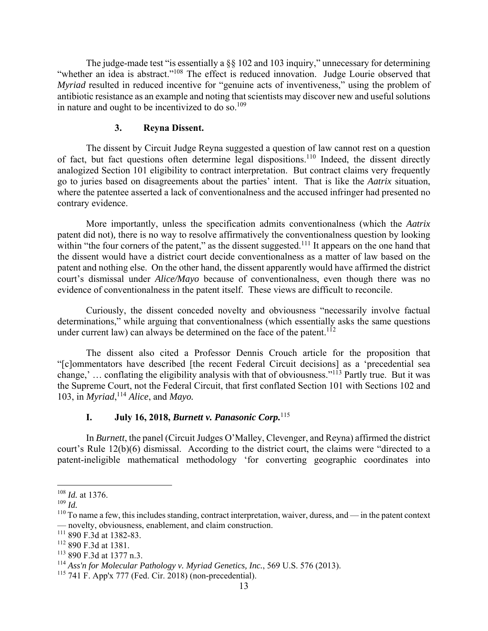The judge-made test "is essentially a §§ 102 and 103 inquiry," unnecessary for determining "whether an idea is abstract."<sup>108</sup> The effect is reduced innovation. Judge Lourie observed that *Myriad* resulted in reduced incentive for "genuine acts of inventiveness," using the problem of antibiotic resistance as an example and noting that scientists may discover new and useful solutions in nature and ought to be incentivized to do so.<sup>109</sup>

#### **3. Reyna Dissent.**

The dissent by Circuit Judge Reyna suggested a question of law cannot rest on a question of fact, but fact questions often determine legal dispositions.110 Indeed, the dissent directly analogized Section 101 eligibility to contract interpretation. But contract claims very frequently go to juries based on disagreements about the parties' intent. That is like the *Aatrix* situation, where the patentee asserted a lack of conventionalness and the accused infringer had presented no contrary evidence.

More importantly, unless the specification admits conventionalness (which the *Aatrix*  patent did not)*,* there is no way to resolve affirmatively the conventionalness question by looking within "the four corners of the patent," as the dissent suggested.<sup>111</sup> It appears on the one hand that the dissent would have a district court decide conventionalness as a matter of law based on the patent and nothing else. On the other hand, the dissent apparently would have affirmed the district court's dismissal under *Alice/Mayo* because of conventionalness, even though there was no evidence of conventionalness in the patent itself. These views are difficult to reconcile.

Curiously, the dissent conceded novelty and obviousness "necessarily involve factual determinations," while arguing that conventionalness (which essentially asks the same questions under current law) can always be determined on the face of the patent.<sup>112</sup>

The dissent also cited a Professor Dennis Crouch article for the proposition that "[c]ommentators have described [the recent Federal Circuit decisions] as a 'precedential sea change,' ... conflating the eligibility analysis with that of obviousness."<sup>113</sup> Partly true. But it was the Supreme Court, not the Federal Circuit, that first conflated Section 101 with Sections 102 and 103, in *Myriad*, <sup>114</sup> *Alice*, and *Mayo.* 

## **I. July 16, 2018,** *Burnett v. Panasonic Corp.*<sup>115</sup>

In *Burnett*, the panel (Circuit Judges O'Malley, Clevenger, and Reyna) affirmed the district court's Rule 12(b)(6) dismissal. According to the district court, the claims were "directed to a patent-ineligible mathematical methodology 'for converting geographic coordinates into

<u>.</u>

<sup>108</sup> *Id.* at 1376.

<sup>109</sup> *Id.*

 $110$  To name a few, this includes standing, contract interpretation, waiver, duress, and — in the patent context — novelty, obviousness, enablement, and claim construction.

<sup>111 890</sup> F.3d at 1382-83.

<sup>112 890</sup> F.3d at 1381.

<sup>113 890</sup> F.3d at 1377 n.3.

<sup>114</sup> *Ass'n for Molecular Pathology v. Myriad Genetics, Inc.*, 569 U.S. 576 (2013).

<sup>115 741</sup> F. App'x 777 (Fed. Cir. 2018) (non-precedential).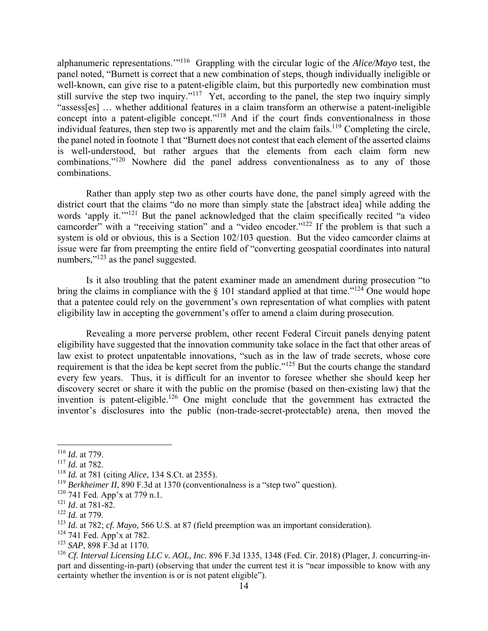alphanumeric representations.'"116 Grappling with the circular logic of the *Alice/Mayo* test, the panel noted, "Burnett is correct that a new combination of steps, though individually ineligible or well-known, can give rise to a patent-eligible claim, but this purportedly new combination must still survive the step two inquiry."<sup>117</sup> Yet, according to the panel, the step two inquiry simply "assess[es] … whether additional features in a claim transform an otherwise a patent-ineligible concept into a patent-eligible concept."<sup>118</sup> And if the court finds conventionalness in those individual features, then step two is apparently met and the claim fails.<sup>119</sup> Completing the circle, the panel noted in footnote 1 that "Burnett does not contest that each element of the asserted claims is well-understood, but rather argues that the elements from each claim form new combinations."120 Nowhere did the panel address conventionalness as to any of those combinations.

Rather than apply step two as other courts have done, the panel simply agreed with the district court that the claims "do no more than simply state the [abstract idea] while adding the words 'apply it.'<sup>"121</sup> But the panel acknowledged that the claim specifically recited "a video" camcorder" with a "receiving station" and a "video encoder."<sup>122</sup> If the problem is that such a system is old or obvious, this is a Section 102/103 question. But the video camcorder claims at issue were far from preempting the entire field of "converting geospatial coordinates into natural numbers,"<sup>123</sup> as the panel suggested.

Is it also troubling that the patent examiner made an amendment during prosecution "to bring the claims in compliance with the  $\S$  101 standard applied at that time."<sup>124</sup> One would hope that a patentee could rely on the government's own representation of what complies with patent eligibility law in accepting the government's offer to amend a claim during prosecution.

Revealing a more perverse problem, other recent Federal Circuit panels denying patent eligibility have suggested that the innovation community take solace in the fact that other areas of law exist to protect unpatentable innovations, "such as in the law of trade secrets, whose core requirement is that the idea be kept secret from the public."125 But the courts change the standard every few years. Thus, it is difficult for an inventor to foresee whether she should keep her discovery secret or share it with the public on the promise (based on then-existing law) that the invention is patent-eligible.<sup>126</sup> One might conclude that the government has extracted the inventor's disclosures into the public (non-trade-secret-protectable) arena, then moved the

 $\overline{a}$ 

 $124$  741 Fed. App'x at 782.

<sup>116</sup> *Id.* at 779.

<sup>117</sup> *Id.* at 782.

<sup>118</sup> *Id.* at 781 (citing *Alice*, 134 S.Ct. at 2355).

<sup>&</sup>lt;sup>119</sup> *Berkheimer II*, 890 F.3d at 1370 (conventionalness is a "step two" question).

<sup>&</sup>lt;sup>120</sup> 741 Fed. App'x at 779 n.1.

<sup>121</sup> *Id*. at 781-82.

<sup>122</sup> *Id.* at 779.

<sup>123</sup> *Id.* at 782; *cf. Mayo,* 566 U.S. at 87 (field preemption was an important consideration).

<sup>125</sup> *SAP*, 898 F.3d at 1170.

<sup>126</sup> *Cf. Interval Licensing LLC v. AOL, Inc.* 896 F.3d 1335, 1348 (Fed. Cir. 2018) (Plager, J. concurring-inpart and dissenting-in-part) (observing that under the current test it is "near impossible to know with any certainty whether the invention is or is not patent eligible").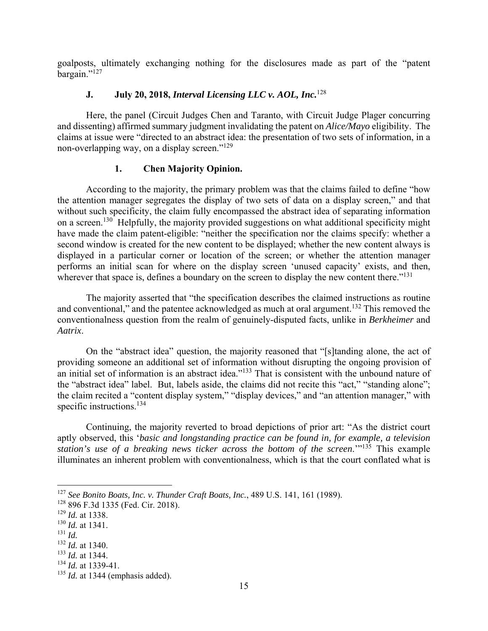goalposts, ultimately exchanging nothing for the disclosures made as part of the "patent bargain."127

## **J. July 20, 2018,** *Interval Licensing LLC v. AOL, Inc.*<sup>128</sup>

Here, the panel (Circuit Judges Chen and Taranto, with Circuit Judge Plager concurring and dissenting) affirmed summary judgment invalidating the patent on *Alice/Mayo* eligibility. The claims at issue were "directed to an abstract idea: the presentation of two sets of information, in a non-overlapping way, on a display screen."<sup>129</sup>

## **1. Chen Majority Opinion.**

According to the majority, the primary problem was that the claims failed to define "how the attention manager segregates the display of two sets of data on a display screen," and that without such specificity, the claim fully encompassed the abstract idea of separating information on a screen.<sup>130</sup> Helpfully, the majority provided suggestions on what additional specificity might have made the claim patent-eligible: "neither the specification nor the claims specify: whether a second window is created for the new content to be displayed; whether the new content always is displayed in a particular corner or location of the screen; or whether the attention manager performs an initial scan for where on the display screen 'unused capacity' exists, and then, wherever that space is, defines a boundary on the screen to display the new content there."<sup>131</sup>

The majority asserted that "the specification describes the claimed instructions as routine and conventional," and the patentee acknowledged as much at oral argument.<sup>132</sup> This removed the conventionalness question from the realm of genuinely-disputed facts, unlike in *Berkheimer* and *Aatrix*.

On the "abstract idea" question, the majority reasoned that "[s]tanding alone, the act of providing someone an additional set of information without disrupting the ongoing provision of an initial set of information is an abstract idea."<sup>133</sup> That is consistent with the unbound nature of the "abstract idea" label. But, labels aside, the claims did not recite this "act," "standing alone"; the claim recited a "content display system," "display devices," and "an attention manager," with specific instructions.<sup>134</sup>

Continuing, the majority reverted to broad depictions of prior art: "As the district court aptly observed, this '*basic and longstanding practice can be found in, for example, a television station's use of a breaking news ticker across the bottom of the screen.*<sup>"135</sup> This example illuminates an inherent problem with conventionalness, which is that the court conflated what is

<sup>127</sup> *See Bonito Boats, Inc. v. Thunder Craft Boats, Inc.*, 489 U.S. 141, 161 (1989).

<sup>128 896</sup> F.3d 1335 (Fed. Cir. 2018).

<sup>129</sup> *Id.* at 1338.

<sup>130</sup> *Id.* at 1341.

<sup>131</sup> *Id.*

<sup>132</sup> *Id.* at 1340.

<sup>133</sup> *Id.* at 1344.

<sup>134</sup> *Id.* at 1339-41.

<sup>&</sup>lt;sup>135</sup> *Id.* at 1344 (emphasis added).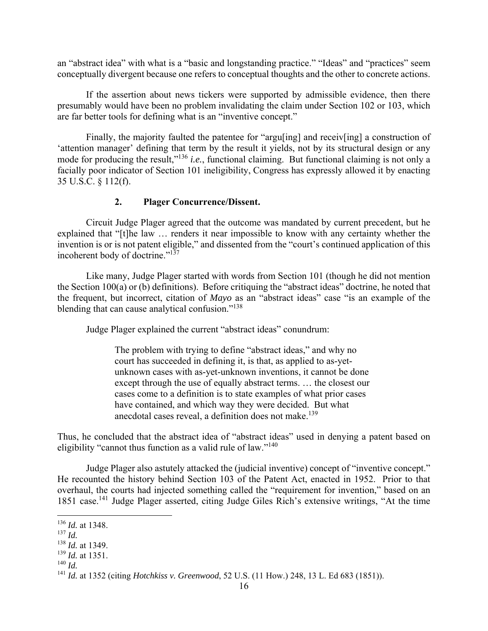an "abstract idea" with what is a "basic and longstanding practice." "Ideas" and "practices" seem conceptually divergent because one refers to conceptual thoughts and the other to concrete actions.

If the assertion about news tickers were supported by admissible evidence, then there presumably would have been no problem invalidating the claim under Section 102 or 103, which are far better tools for defining what is an "inventive concept."

Finally, the majority faulted the patentee for "arguling] and receivling] a construction of 'attention manager' defining that term by the result it yields, not by its structural design or any mode for producing the result,"136 *i.e.*, functional claiming. But functional claiming is not only a facially poor indicator of Section 101 ineligibility, Congress has expressly allowed it by enacting 35 U.S.C. § 112(f).

## **2. Plager Concurrence/Dissent.**

Circuit Judge Plager agreed that the outcome was mandated by current precedent, but he explained that "[t]he law ... renders it near impossible to know with any certainty whether the invention is or is not patent eligible," and dissented from the "court's continued application of this incoherent body of doctrine."137

Like many, Judge Plager started with words from Section 101 (though he did not mention the Section 100(a) or (b) definitions). Before critiquing the "abstract ideas" doctrine, he noted that the frequent, but incorrect, citation of *Mayo* as an "abstract ideas" case "is an example of the blending that can cause analytical confusion."<sup>138</sup>

Judge Plager explained the current "abstract ideas" conundrum:

The problem with trying to define "abstract ideas," and why no court has succeeded in defining it, is that, as applied to as-yetunknown cases with as-yet-unknown inventions, it cannot be done except through the use of equally abstract terms. … the closest our cases come to a definition is to state examples of what prior cases have contained, and which way they were decided. But what anecdotal cases reveal, a definition does not make.<sup>139</sup>

Thus, he concluded that the abstract idea of "abstract ideas" used in denying a patent based on eligibility "cannot thus function as a valid rule of law."<sup>140</sup>

Judge Plager also astutely attacked the (judicial inventive) concept of "inventive concept." He recounted the history behind Section 103 of the Patent Act, enacted in 1952. Prior to that overhaul, the courts had injected something called the "requirement for invention," based on an 1851 case.141 Judge Plager asserted, citing Judge Giles Rich's extensive writings, "At the time

1

<sup>139</sup> *Id.* at 1351.

<sup>136</sup> *Id.* at 1348.

<sup>137</sup> *Id.*

<sup>138</sup> *Id.* at 1349.

<sup>140</sup> *Id.*

<sup>141</sup> *Id.* at 1352 (citing *Hotchkiss v. Greenwood*, 52 U.S. (11 How.) 248, 13 L. Ed 683 (1851)).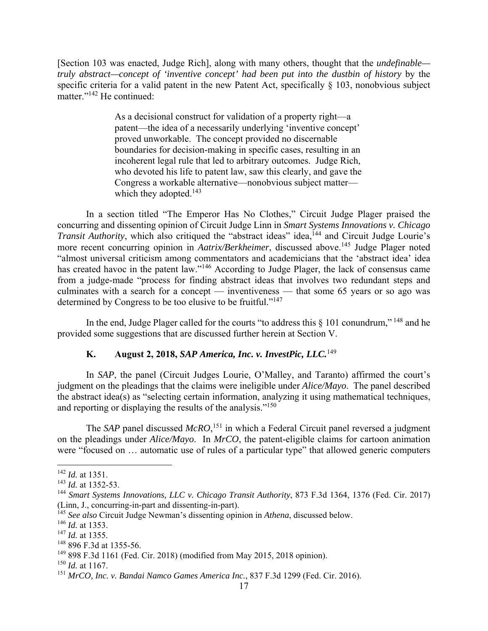[Section 103 was enacted, Judge Rich], along with many others, thought that the *undefinable truly abstract—concept of 'inventive concept' had been put into the dustbin of history* by the specific criteria for a valid patent in the new Patent Act, specifically  $\S$  103, nonobvious subject matter."<sup>142</sup> He continued:

> As a decisional construct for validation of a property right—a patent—the idea of a necessarily underlying 'inventive concept' proved unworkable. The concept provided no discernable boundaries for decision-making in specific cases, resulting in an incoherent legal rule that led to arbitrary outcomes. Judge Rich, who devoted his life to patent law, saw this clearly, and gave the Congress a workable alternative—nonobvious subject matter which they adopted.<sup>143</sup>

In a section titled "The Emperor Has No Clothes," Circuit Judge Plager praised the concurring and dissenting opinion of Circuit Judge Linn in *Smart Systems Innovations v. Chicago Transit Authority*, which also critiqued the "abstract ideas" idea,<sup>144</sup> and Circuit Judge Lourie's more recent concurring opinion in *Aatrix/Berkheimer*, discussed above.<sup>145</sup> Judge Plager noted "almost universal criticism among commentators and academicians that the 'abstract idea' idea has created havoc in the patent law."<sup>146</sup> According to Judge Plager, the lack of consensus came from a judge-made "process for finding abstract ideas that involves two redundant steps and culminates with a search for a concept — inventiveness — that some 65 years or so ago was determined by Congress to be too elusive to be fruitful."<sup>147</sup>

In the end, Judge Plager called for the courts "to address this § 101 conundrum," <sup>148</sup> and he provided some suggestions that are discussed further herein at Section V.

# **K. August 2, 2018,** *SAP America, Inc. v. InvestPic, LLC.*<sup>149</sup>

In *SAP*, the panel (Circuit Judges Lourie, O'Malley, and Taranto) affirmed the court's judgment on the pleadings that the claims were ineligible under *Alice/Mayo*. The panel described the abstract idea(s) as "selecting certain information, analyzing it using mathematical techniques, and reporting or displaying the results of the analysis."<sup>150</sup>

The *SAP* panel discussed *McRO*, 151 in which a Federal Circuit panel reversed a judgment on the pleadings under *Alice/Mayo*. In *MrCO*, the patent-eligible claims for cartoon animation were "focused on … automatic use of rules of a particular type" that allowed generic computers

<sup>142</sup> *Id.* at 1351.

<sup>143</sup> *Id.* at 1352-53.

<sup>144</sup> *Smart Systems Innovations, LLC v. Chicago Transit Authority*, 873 F.3d 1364, 1376 (Fed. Cir. 2017) (Linn, J., concurring-in-part and dissenting-in-part).

<sup>145</sup> *See also* Circuit Judge Newman's dissenting opinion in *Athena*, discussed below.

<sup>146</sup> *Id.* at 1353.

<sup>147</sup> *Id.* at 1355.

<sup>148 896</sup> F.3d at 1355-56.

<sup>149 898</sup> F.3d 1161 (Fed. Cir. 2018) (modified from May 2015, 2018 opinion).

 $150$  *Id.* at 1167.

<sup>151</sup> *MrCO, Inc. v. Bandai Namco Games America Inc.*, 837 F.3d 1299 (Fed. Cir. 2016).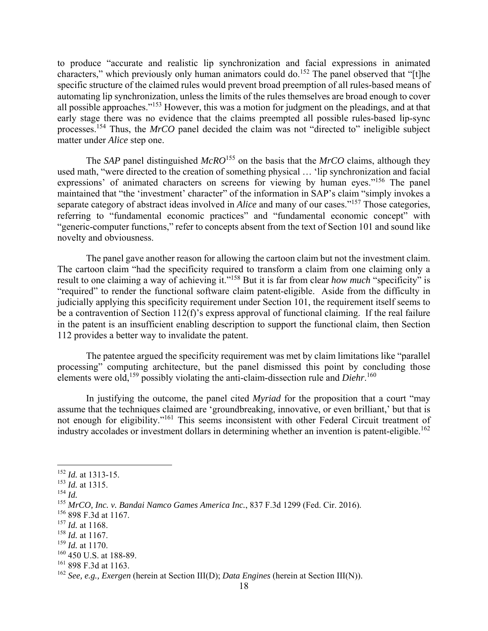to produce "accurate and realistic lip synchronization and facial expressions in animated characters," which previously only human animators could do.<sup>152</sup> The panel observed that "[t]he specific structure of the claimed rules would prevent broad preemption of all rules-based means of automating lip synchronization, unless the limits of the rules themselves are broad enough to cover all possible approaches."153 However, this was a motion for judgment on the pleadings, and at that early stage there was no evidence that the claims preempted all possible rules-based lip-sync processes.154 Thus, the *MrCO* panel decided the claim was not "directed to" ineligible subject matter under *Alice* step one.

The *SAP* panel distinguished *McRO*<sup>155</sup> on the basis that the *MrCO* claims, although they used math, "were directed to the creation of something physical … 'lip synchronization and facial expressions' of animated characters on screens for viewing by human eyes."<sup>156</sup> The panel maintained that "the 'investment' character" of the information in SAP's claim "simply invokes a separate category of abstract ideas involved in *Alice* and many of our cases."157 Those categories, referring to "fundamental economic practices" and "fundamental economic concept" with "generic-computer functions," refer to concepts absent from the text of Section 101 and sound like novelty and obviousness.

The panel gave another reason for allowing the cartoon claim but not the investment claim. The cartoon claim "had the specificity required to transform a claim from one claiming only a result to one claiming a way of achieving it."<sup>158</sup> But it is far from clear *how much* "specificity" is "required" to render the functional software claim patent-eligible. Aside from the difficulty in judicially applying this specificity requirement under Section 101, the requirement itself seems to be a contravention of Section 112(f)'s express approval of functional claiming. If the real failure in the patent is an insufficient enabling description to support the functional claim, then Section 112 provides a better way to invalidate the patent.

The patentee argued the specificity requirement was met by claim limitations like "parallel processing" computing architecture, but the panel dismissed this point by concluding those elements were old,<sup>159</sup> possibly violating the anti-claim-dissection rule and *Diehr*.<sup>160</sup>

In justifying the outcome, the panel cited *Myriad* for the proposition that a court "may assume that the techniques claimed are 'groundbreaking, innovative, or even brilliant,' but that is not enough for eligibility."161 This seems inconsistent with other Federal Circuit treatment of industry accolades or investment dollars in determining whether an invention is patent-eligible.<sup>162</sup>

<sup>152</sup> *Id.* at 1313-15.

<sup>153</sup> *Id.* at 1315.

<sup>154</sup> *Id.*

<sup>155</sup> *MrCO, Inc. v. Bandai Namco Games America Inc.*, 837 F.3d 1299 (Fed. Cir. 2016).

<sup>156 898</sup> F.3d at 1167.

<sup>157</sup> *Id.* at 1168.

<sup>158</sup> *Id.* at 1167.

<sup>159</sup> *Id.* at 1170.

<sup>&</sup>lt;sup>160</sup> 450 U.S. at 188-89.

<sup>161 898</sup> F.3d at 1163.

<sup>162</sup> *See, e.g., Exergen* (herein at Section III(D); *Data Engines* (herein at Section III(N)).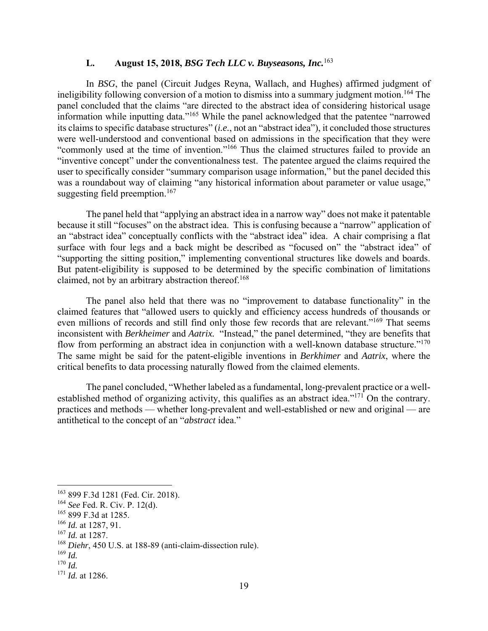## **L. August 15, 2018,** *BSG Tech LLC v. Buyseasons, Inc.*<sup>163</sup>

In *BSG*, the panel (Circuit Judges Reyna, Wallach, and Hughes) affirmed judgment of ineligibility following conversion of a motion to dismiss into a summary judgment motion.164 The panel concluded that the claims "are directed to the abstract idea of considering historical usage information while inputting data."165 While the panel acknowledged that the patentee "narrowed its claims to specific database structures" (*i.e.*, not an "abstract idea"), it concluded those structures were well-understood and conventional based on admissions in the specification that they were "commonly used at the time of invention."166 Thus the claimed structures failed to provide an "inventive concept" under the conventionalness test. The patentee argued the claims required the user to specifically consider "summary comparison usage information," but the panel decided this was a roundabout way of claiming "any historical information about parameter or value usage," suggesting field preemption.<sup>167</sup>

The panel held that "applying an abstract idea in a narrow way" does not make it patentable because it still "focuses" on the abstract idea. This is confusing because a "narrow" application of an "abstract idea" conceptually conflicts with the "abstract idea" idea. A chair comprising a flat surface with four legs and a back might be described as "focused on" the "abstract idea" of "supporting the sitting position," implementing conventional structures like dowels and boards. But patent-eligibility is supposed to be determined by the specific combination of limitations claimed, not by an arbitrary abstraction thereof.<sup>168</sup>

The panel also held that there was no "improvement to database functionality" in the claimed features that "allowed users to quickly and efficiency access hundreds of thousands or even millions of records and still find only those few records that are relevant."169 That seems inconsistent with *Berkheimer* and *Aatrix.* "Instead," the panel determined, "they are benefits that flow from performing an abstract idea in conjunction with a well-known database structure."<sup>170</sup> The same might be said for the patent-eligible inventions in *Berkhimer* and *Aatrix*, where the critical benefits to data processing naturally flowed from the claimed elements.

The panel concluded, "Whether labeled as a fundamental, long-prevalent practice or a wellestablished method of organizing activity, this qualifies as an abstract idea."<sup>171</sup> On the contrary. practices and methods — whether long-prevalent and well-established or new and original — are antithetical to the concept of an "*abstract* idea."

<sup>163 899</sup> F.3d 1281 (Fed. Cir. 2018).

<sup>164</sup> *See* Fed. R. Civ. P. 12(d).

<sup>165 899</sup> F.3d at 1285.

<sup>166</sup> *Id.* at 1287, 91.

<sup>167</sup> *Id.* at 1287.

<sup>168</sup> *Diehr*, 450 U.S. at 188-89 (anti-claim-dissection rule).

<sup>169</sup> *Id.*

<sup>170</sup> *Id.*

<sup>171</sup> *Id.* at 1286.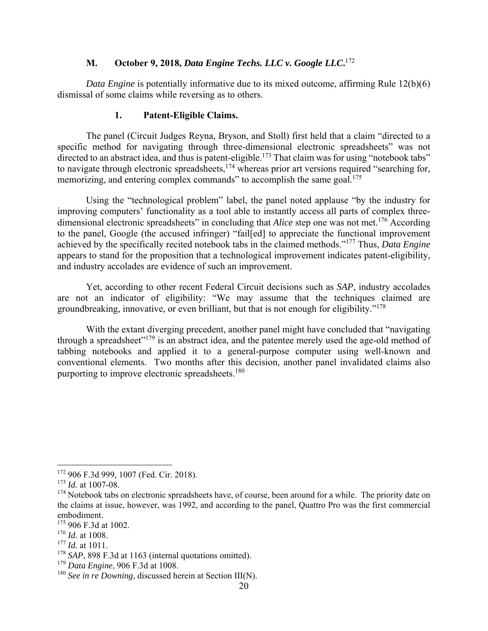### **M. October 9, 2018,** *Data Engine Techs. LLC v. Google LLC***.** 172

*Data Engine* is potentially informative due to its mixed outcome, affirming Rule 12(b)(6) dismissal of some claims while reversing as to others.

### **1. Patent-Eligible Claims.**

The panel (Circuit Judges Reyna, Bryson, and Stoll) first held that a claim "directed to a specific method for navigating through three-dimensional electronic spreadsheets" was not directed to an abstract idea, and thus is patent-eligible.<sup>173</sup> That claim was for using "notebook tabs" to navigate through electronic spreadsheets,<sup>174</sup> whereas prior art versions required "searching for, memorizing, and entering complex commands" to accomplish the same goal.<sup>175</sup>

Using the "technological problem" label, the panel noted applause "by the industry for improving computers' functionality as a tool able to instantly access all parts of complex threedimensional electronic spreadsheets" in concluding that *Alice* step one was not met.<sup>176</sup> According to the panel, Google (the accused infringer) "fail[ed] to appreciate the functional improvement achieved by the specifically recited notebook tabs in the claimed methods."177 Thus, *Data Engine* appears to stand for the proposition that a technological improvement indicates patent-eligibility, and industry accolades are evidence of such an improvement.

Yet, according to other recent Federal Circuit decisions such as *SAP*, industry accolades are not an indicator of eligibility: "We may assume that the techniques claimed are groundbreaking, innovative, or even brilliant, but that is not enough for eligibility."<sup>178</sup>

With the extant diverging precedent, another panel might have concluded that "navigating through a spreadsheet"179 is an abstract idea, and the patentee merely used the age-old method of tabbing notebooks and applied it to a general-purpose computer using well-known and conventional elements. Two months after this decision, another panel invalidated claims also purporting to improve electronic spreadsheets.<sup>180</sup>

- <sup>176</sup> *Id.* at 1008.
- <sup>177</sup> *Id.* at 1011.

<sup>179</sup> *Data Engine*, 906 F.3d at 1008.

 $\overline{a}$ 172 906 F.3d 999, 1007 (Fed. Cir. 2018).

<sup>173</sup> *Id.* at 1007-08.

<sup>&</sup>lt;sup>174</sup> Notebook tabs on electronic spreadsheets have, of course, been around for a while. The priority date on the claims at issue, however, was 1992, and according to the panel, Quattro Pro was the first commercial embodiment.

<sup>175 906</sup> F.3d at 1002.

<sup>&</sup>lt;sup>178</sup> SAP, 898 F.3d at 1163 (internal quotations omitted).

<sup>180</sup> *See in re Downing*, discussed herein at Section III(N).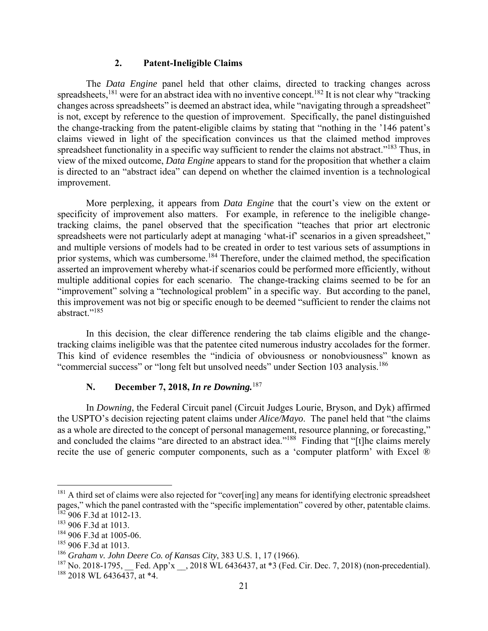#### **2. Patent-Ineligible Claims**

The *Data Engine* panel held that other claims, directed to tracking changes across spreadsheets,<sup>181</sup> were for an abstract idea with no inventive concept.<sup>182</sup> It is not clear why "tracking" changes across spreadsheets" is deemed an abstract idea, while "navigating through a spreadsheet" is not, except by reference to the question of improvement. Specifically, the panel distinguished the change-tracking from the patent-eligible claims by stating that "nothing in the '146 patent's claims viewed in light of the specification convinces us that the claimed method improves spreadsheet functionality in a specific way sufficient to render the claims not abstract."<sup>183</sup> Thus, in view of the mixed outcome, *Data Engine* appears to stand for the proposition that whether a claim is directed to an "abstract idea" can depend on whether the claimed invention is a technological improvement.

More perplexing, it appears from *Data Engine* that the court's view on the extent or specificity of improvement also matters. For example, in reference to the ineligible changetracking claims, the panel observed that the specification "teaches that prior art electronic spreadsheets were not particularly adept at managing 'what-if' scenarios in a given spreadsheet," and multiple versions of models had to be created in order to test various sets of assumptions in prior systems, which was cumbersome.<sup>184</sup> Therefore, under the claimed method, the specification asserted an improvement whereby what-if scenarios could be performed more efficiently, without multiple additional copies for each scenario. The change-tracking claims seemed to be for an "improvement" solving a "technological problem" in a specific way. But according to the panel, this improvement was not big or specific enough to be deemed "sufficient to render the claims not abstract."<sup>185</sup>

In this decision, the clear difference rendering the tab claims eligible and the changetracking claims ineligible was that the patentee cited numerous industry accolades for the former. This kind of evidence resembles the "indicia of obviousness or nonobviousness" known as "commercial success" or "long felt but unsolved needs" under Section 103 analysis.<sup>186</sup>

# **N. December 7, 2018,** *In re Downing.*<sup>187</sup>

In *Downing*, the Federal Circuit panel (Circuit Judges Lourie, Bryson, and Dyk) affirmed the USPTO's decision rejecting patent claims under *Alice/Mayo*. The panel held that "the claims as a whole are directed to the concept of personal management, resource planning, or forecasting," and concluded the claims "are directed to an abstract idea."<sup>188</sup> Finding that "[t]he claims merely recite the use of generic computer components, such as a 'computer platform' with Excel ®

<u>.</u>

<sup>&</sup>lt;sup>181</sup> A third set of claims were also rejected for "cover[ing] any means for identifying electronic spreadsheet pages," which the panel contrasted with the "specific implementation" covered by other, patentable claims.  $182$  906 F.3d at 1012-13.

<sup>183 906</sup> F.3d at 1013.

<sup>184 906</sup> F.3d at 1005-06.

<sup>185 906</sup> F.3d at 1013.

<sup>186</sup> *Graham v. John Deere Co. of Kansas City*, 383 U.S. 1, 17 (1966).

<sup>&</sup>lt;sup>187</sup> No. 2018-1795, Fed. App'x , 2018 WL 6436437, at  $*3$  (Fed. Cir. Dec. 7, 2018) (non-precedential). <sup>188</sup> 2018 WL 6436437, at \*4.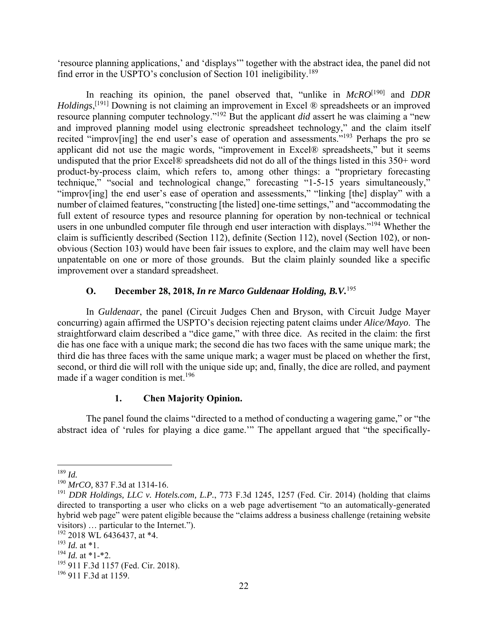'resource planning applications,' and 'displays'" together with the abstract idea, the panel did not find error in the USPTO's conclusion of Section 101 ineligibility.<sup>189</sup>

In reaching its opinion, the panel observed that, "unlike in *McRO*[190] and *DDR*  Holdings,<sup>[191]</sup> Downing is not claiming an improvement in Excel ® spreadsheets or an improved resource planning computer technology."192 But the applicant *did* assert he was claiming a "new and improved planning model using electronic spreadsheet technology," and the claim itself recited "improv[ing] the end user's ease of operation and assessments."193 Perhaps the pro se applicant did not use the magic words, "improvement in Excel® spreadsheets," but it seems undisputed that the prior Excel® spreadsheets did not do all of the things listed in this 350+ word product-by-process claim, which refers to, among other things: a "proprietary forecasting technique," "social and technological change," forecasting "1-5-15 years simultaneously," "improv[ing] the end user's ease of operation and assessments," "linking [the] display" with a number of claimed features, "constructing [the listed] one-time settings," and "accommodating the full extent of resource types and resource planning for operation by non-technical or technical users in one unbundled computer file through end user interaction with displays."<sup>194</sup> Whether the claim is sufficiently described (Section 112), definite (Section 112), novel (Section 102), or nonobvious (Section 103) would have been fair issues to explore, and the claim may well have been unpatentable on one or more of those grounds. But the claim plainly sounded like a specific improvement over a standard spreadsheet.

## **O. December 28, 2018,** *In re Marco Guldenaar Holding, B.V.*<sup>195</sup>

In *Guldenaar*, the panel (Circuit Judges Chen and Bryson, with Circuit Judge Mayer concurring) again affirmed the USPTO's decision rejecting patent claims under *Alice/Mayo*. The straightforward claim described a "dice game," with three dice. As recited in the claim: the first die has one face with a unique mark; the second die has two faces with the same unique mark; the third die has three faces with the same unique mark; a wager must be placed on whether the first, second, or third die will roll with the unique side up; and, finally, the dice are rolled, and payment made if a wager condition is met.<sup>196</sup>

# **1. Chen Majority Opinion.**

The panel found the claims "directed to a method of conducting a wagering game," or "the abstract idea of 'rules for playing a dice game.'" The appellant argued that "the specifically-

<sup>1</sup> <sup>189</sup> *Id.*

<sup>190</sup> *MrCO,* 837 F.3d at 1314-16.

<sup>191</sup> *DDR Holdings, LLC v. Hotels.com, L.P.*, 773 F.3d 1245, 1257 (Fed. Cir. 2014) (holding that claims directed to transporting a user who clicks on a web page advertisement "to an automatically-generated hybrid web page" were patent eligible because the "claims address a business challenge (retaining website visitors) … particular to the Internet.").

<sup>192 2018</sup> WL 6436437, at \*4.

<sup>193</sup> *Id.* at \*1.

<sup>194</sup> *Id.* at \*1-\*2.

<sup>195 911</sup> F.3d 1157 (Fed. Cir. 2018).

<sup>196 911</sup> F.3d at 1159.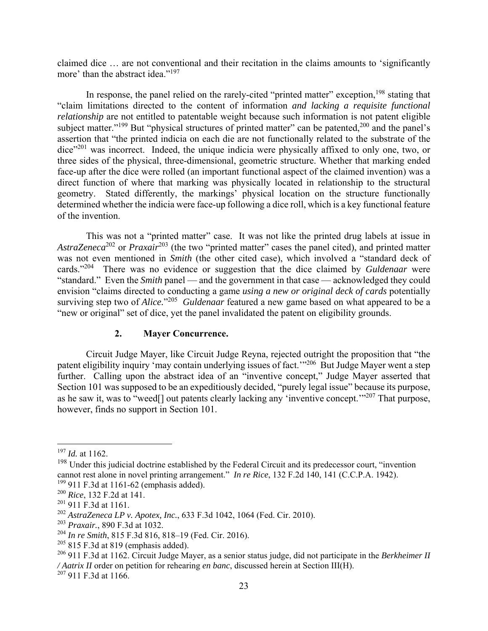claimed dice … are not conventional and their recitation in the claims amounts to 'significantly more' than the abstract idea."<sup>197</sup>

In response, the panel relied on the rarely-cited "printed matter" exception,<sup>198</sup> stating that "claim limitations directed to the content of information *and lacking a requisite functional relationship* are not entitled to patentable weight because such information is not patent eligible subject matter."<sup>199</sup> But "physical structures of printed matter" can be patented,<sup>200</sup> and the panel's assertion that "the printed indicia on each die are not functionally related to the substrate of the dice"<sup>201</sup> was incorrect. Indeed, the unique indicia were physically affixed to only one, two, or three sides of the physical, three-dimensional, geometric structure. Whether that marking ended face-up after the dice were rolled (an important functional aspect of the claimed invention) was a direct function of where that marking was physically located in relationship to the structural geometry. Stated differently, the markings' physical location on the structure functionally determined whether the indicia were face-up following a dice roll, which is a key functional feature of the invention.

This was not a "printed matter" case. It was not like the printed drug labels at issue in *AstraZeneca*<sup>202</sup> or *Praxair*203 (the two "printed matter" cases the panel cited), and printed matter was not even mentioned in *Smith* (the other cited case), which involved a "standard deck of cards."204 There was no evidence or suggestion that the dice claimed by *Guldenaar* were "standard." Even the *Smith* panel — and the government in that case — acknowledged they could envision "claims directed to conducting a game *using a new or original deck of cards* potentially surviving step two of *Alice.*"205 *Guldenaar* featured a new game based on what appeared to be a "new or original" set of dice, yet the panel invalidated the patent on eligibility grounds.

### **2. Mayer Concurrence.**

Circuit Judge Mayer, like Circuit Judge Reyna, rejected outright the proposition that "the patent eligibility inquiry 'may contain underlying issues of fact.'"<sup>206</sup> But Judge Mayer went a step further. Calling upon the abstract idea of an "inventive concept," Judge Mayer asserted that Section 101 was supposed to be an expeditiously decided, "purely legal issue" because its purpose, as he saw it, was to "weed[] out patents clearly lacking any 'inventive concept.'"207 That purpose, however, finds no support in Section 101.

<sup>197</sup> *Id.* at 1162.

 $198$  Under this judicial doctrine established by the Federal Circuit and its predecessor court, "invention" cannot rest alone in novel printing arrangement." *In re Rice*, 132 F.2d 140, 141 (C.C.P.A. 1942). <sup>199</sup> 911 F.3d at 1161-62 (emphasis added).

<sup>200</sup> *Rice*, 132 F.2d at 141.

<sup>201 911</sup> F.3d at 1161.

<sup>202</sup> *AstraZeneca LP v. Apotex, Inc.*, 633 F.3d 1042, 1064 (Fed. Cir. 2010).

<sup>203</sup> *Praxair.*, 890 F.3d at 1032.

<sup>204</sup> *In re Smith*, 815 F.3d 816, 818–19 (Fed. Cir. 2016).

 $205$  815 F.3d at 819 (emphasis added).

<sup>206 911</sup> F.3d at 1162. Circuit Judge Mayer, as a senior status judge, did not participate in the *Berkheimer II / Aatrix II* order on petition for rehearing *en banc*, discussed herein at Section III(H). 207 911 F.3d at 1166.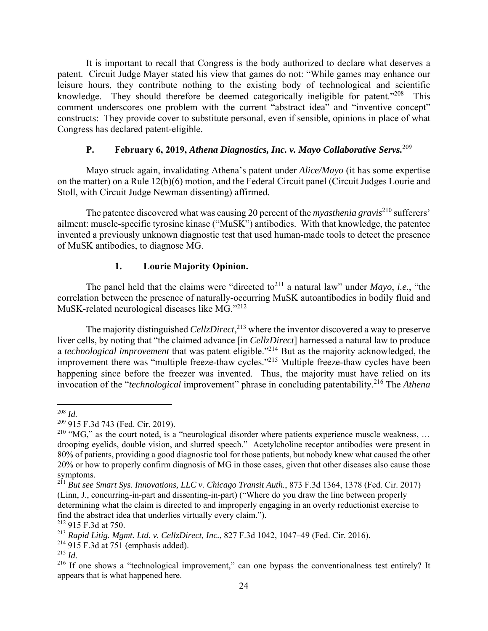It is important to recall that Congress is the body authorized to declare what deserves a patent. Circuit Judge Mayer stated his view that games do not: "While games may enhance our leisure hours, they contribute nothing to the existing body of technological and scientific knowledge. They should therefore be deemed categorically ineligible for patent."<sup>208</sup> This comment underscores one problem with the current "abstract idea" and "inventive concept" constructs: They provide cover to substitute personal, even if sensible, opinions in place of what Congress has declared patent-eligible.

# **P. February 6, 2019,** *Athena Diagnostics, Inc. v. Mayo Collaborative Servs.*<sup>209</sup>

Mayo struck again, invalidating Athena's patent under *Alice/Mayo* (it has some expertise on the matter) on a Rule 12(b)(6) motion, and the Federal Circuit panel (Circuit Judges Lourie and Stoll, with Circuit Judge Newman dissenting) affirmed.

The patentee discovered what was causing 20 percent of the *myasthenia gravis*<sup>210</sup> sufferers' ailment: muscle-specific tyrosine kinase ("MuSK") antibodies. With that knowledge, the patentee invented a previously unknown diagnostic test that used human-made tools to detect the presence of MuSK antibodies, to diagnose MG.

## **1. Lourie Majority Opinion.**

The panel held that the claims were "directed to<sup>211</sup> a natural law" under *Mayo*, *i.e.*, "the correlation between the presence of naturally-occurring MuSK autoantibodies in bodily fluid and MuSK-related neurological diseases like MG."<sup>212</sup>

The majority distinguished *CellzDirect*, <sup>213</sup> where the inventor discovered a way to preserve liver cells, by noting that "the claimed advance [in *CellzDirect*] harnessed a natural law to produce a *technological improvement* that was patent eligible."214 But as the majority acknowledged, the improvement there was "multiple freeze-thaw cycles."215 Multiple freeze-thaw cycles have been happening since before the freezer was invented. Thus, the majority must have relied on its invocation of the "*technological* improvement" phrase in concluding patentability.<sup>216</sup> The *Athena* 

 $\overline{a}$ <sup>208</sup> *Id.*

<sup>209 915</sup> F.3d 743 (Fed. Cir. 2019).

<sup>&</sup>lt;sup>210</sup> "MG," as the court noted, is a "neurological disorder where patients experience muscle weakness, ... drooping eyelids, double vision, and slurred speech." Acetylcholine receptor antibodies were present in 80% of patients, providing a good diagnostic tool for those patients, but nobody knew what caused the other 20% or how to properly confirm diagnosis of MG in those cases, given that other diseases also cause those symptoms.

<sup>211</sup> *But see Smart Sys. Innovations, LLC v. Chicago Transit Auth.*, 873 F.3d 1364, 1378 (Fed. Cir. 2017) (Linn, J., concurring-in-part and dissenting-in-part) ("Where do you draw the line between properly determining what the claim is directed to and improperly engaging in an overly reductionist exercise to find the abstract idea that underlies virtually every claim.").

<sup>212 915</sup> F.3d at 750.

<sup>213</sup> *Rapid Litig. Mgmt. Ltd. v. CellzDirect, Inc.*, 827 F.3d 1042, 1047–49 (Fed. Cir. 2016).

 $214$  915 F.3d at 751 (emphasis added).

<sup>215</sup> *Id.*

<sup>&</sup>lt;sup>216</sup> If one shows a "technological improvement," can one bypass the conventionalness test entirely? It appears that is what happened here.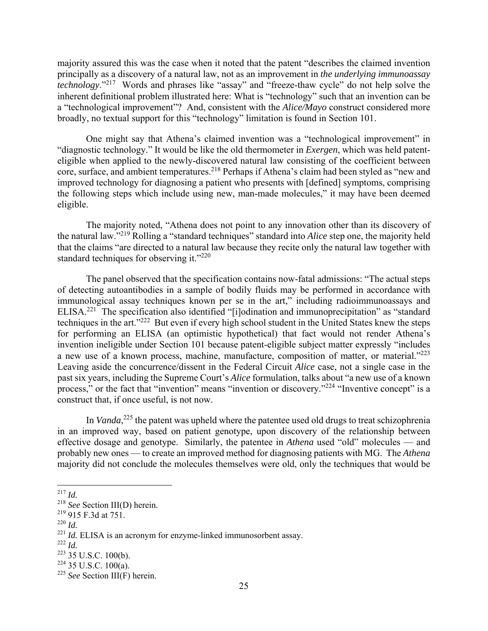majority assured this was the case when it noted that the patent "describes the claimed invention principally as a discovery of a natural law, not as an improvement in *the underlying immunoassay technology*."217 Words and phrases like "assay" and "freeze-thaw cycle" do not help solve the inherent definitional problem illustrated here: What is "technology" such that an invention can be a "technological improvement"? And, consistent with the *Alice/Mayo* construct considered more broadly, no textual support for this "technology" limitation is found in Section 101.

One might say that Athena's claimed invention was a "technological improvement" in "diagnostic technology." It would be like the old thermometer in *Exergen*, which was held patenteligible when applied to the newly-discovered natural law consisting of the coefficient between core, surface, and ambient temperatures.<sup>218</sup> Perhaps if Athena's claim had been styled as "new and improved technology for diagnosing a patient who presents with [defined] symptoms, comprising the following steps which include using new, man-made molecules," it may have been deemed eligible.

The majority noted, "Athena does not point to any innovation other than its discovery of the natural law."219 Rolling a "standard techniques" standard into *Alice* step one, the majority held that the claims "are directed to a natural law because they recite only the natural law together with standard techniques for observing it."<sup>220</sup>

The panel observed that the specification contains now-fatal admissions: "The actual steps of detecting autoantibodies in a sample of bodily fluids may be performed in accordance with immunological assay techniques known per se in the art," including radioimmunoassays and ELISA.<sup>221</sup> The specification also identified "[i]odination and immunoprecipitation" as "standard techniques in the art."222 But even if every high school student in the United States knew the steps for performing an ELISA (an optimistic hypothetical) that fact would not render Athena's invention ineligible under Section 101 because patent-eligible subject matter expressly "includes a new use of a known process, machine, manufacture, composition of matter, or material."<sup>223</sup> Leaving aside the concurrence/dissent in the Federal Circuit *Alice* case, not a single case in the past six years, including the Supreme Court's *Alice* formulation, talks about "a new use of a known process," or the fact that "invention" means "invention or discovery."<sup>224</sup> "Inventive concept" is a construct that, if once useful, is not now.

In *Vanda*, 225 the patent was upheld where the patentee used old drugs to treat schizophrenia in an improved way, based on patient genotype, upon discovery of the relationship between effective dosage and genotype. Similarly, the patentee in *Athena* used "old" molecules — and probably new ones — to create an improved method for diagnosing patients with MG. The *Athena*  majority did not conclude the molecules themselves were old, only the techniques that would be

 $\overline{a}$ 

<sup>220</sup> *Id.*

<sup>217</sup> *Id.*

<sup>218</sup> *See* Section III(D) herein.

<sup>219 915</sup> F.3d at 751.

 $^{221}$  *Id.* ELISA is an acronym for enzyme-linked immunosorbent assay.

<sup>222</sup> *Id.*

<sup>223 35</sup> U.S.C. 100(b).

 $224$  35 U.S.C. 100(a).

<sup>225</sup> *See* Section III(F) herein.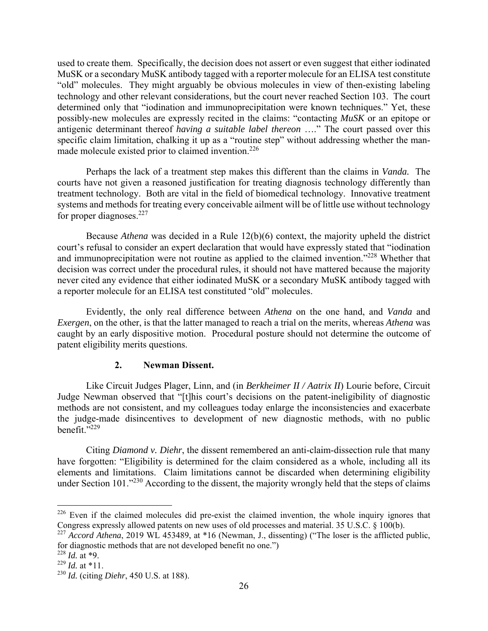used to create them. Specifically, the decision does not assert or even suggest that either iodinated MuSK or a secondary MuSK antibody tagged with a reporter molecule for an ELISA test constitute "old" molecules. They might arguably be obvious molecules in view of then-existing labeling technology and other relevant considerations, but the court never reached Section 103. The court determined only that "iodination and immunoprecipitation were known techniques." Yet, these possibly-new molecules are expressly recited in the claims: "contacting *MuSK* or an epitope or antigenic determinant thereof *having a suitable label thereon* …." The court passed over this specific claim limitation, chalking it up as a "routine step" without addressing whether the manmade molecule existed prior to claimed invention.<sup>226</sup>

Perhaps the lack of a treatment step makes this different than the claims in *Vanda.* The courts have not given a reasoned justification for treating diagnosis technology differently than treatment technology. Both are vital in the field of biomedical technology. Innovative treatment systems and methods for treating every conceivable ailment will be of little use without technology for proper diagnoses. $227$ 

Because *Athena* was decided in a Rule 12(b)(6) context, the majority upheld the district court's refusal to consider an expert declaration that would have expressly stated that "iodination and immunoprecipitation were not routine as applied to the claimed invention."<sup>228</sup> Whether that decision was correct under the procedural rules, it should not have mattered because the majority never cited any evidence that either iodinated MuSK or a secondary MuSK antibody tagged with a reporter molecule for an ELISA test constituted "old" molecules.

Evidently, the only real difference between *Athena* on the one hand, and *Vanda* and *Exergen*, on the other, is that the latter managed to reach a trial on the merits, whereas *Athena* was caught by an early dispositive motion. Procedural posture should not determine the outcome of patent eligibility merits questions.

# **2. Newman Dissent.**

Like Circuit Judges Plager, Linn, and (in *Berkheimer II / Aatrix II*) Lourie before, Circuit Judge Newman observed that "[t]his court's decisions on the patent-ineligibility of diagnostic methods are not consistent, and my colleagues today enlarge the inconsistencies and exacerbate the judge-made disincentives to development of new diagnostic methods, with no public benefit."<sup>229</sup>

Citing *Diamond v. Diehr*, the dissent remembered an anti-claim-dissection rule that many have forgotten: "Eligibility is determined for the claim considered as a whole, including all its elements and limitations. Claim limitations cannot be discarded when determining eligibility under Section 101."<sup>230</sup> According to the dissent, the majority wrongly held that the steps of claims

<sup>&</sup>lt;sup>226</sup> Even if the claimed molecules did pre-exist the claimed invention, the whole inquiry ignores that Congress expressly allowed patents on new uses of old processes and material. 35 U.S.C. § 100(b).

<sup>227</sup> *Accord Athena*, 2019 WL 453489, at \*16 (Newman, J., dissenting) ("The loser is the afflicted public, for diagnostic methods that are not developed benefit no one.")

 $^{228}$  *Id.* at \*9.

<sup>229</sup> *Id.* at \*11.

<sup>230</sup> *Id.* (citing *Diehr*, 450 U.S. at 188).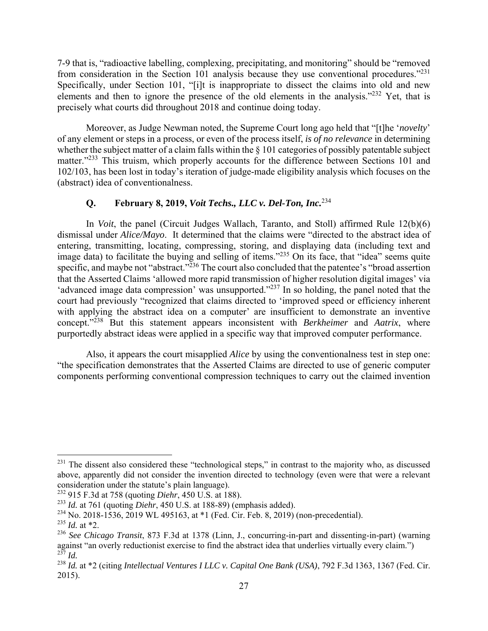7-9 that is, "radioactive labelling, complexing, precipitating, and monitoring" should be "removed from consideration in the Section 101 analysis because they use conventional procedures."<sup>231</sup> Specifically, under Section 101, "[i]t is inappropriate to dissect the claims into old and new elements and then to ignore the presence of the old elements in the analysis."<sup>232</sup> Yet, that is precisely what courts did throughout 2018 and continue doing today.

Moreover, as Judge Newman noted, the Supreme Court long ago held that "[t]he '*novelty*' of any element or steps in a process, or even of the process itself, *is of no relevance* in determining whether the subject matter of a claim falls within the  $\S$  101 categories of possibly patentable subject matter."233 This truism, which properly accounts for the difference between Sections 101 and 102/103, has been lost in today's iteration of judge-made eligibility analysis which focuses on the (abstract) idea of conventionalness.

# **Q. February 8, 2019,** *Voit Techs., LLC v. Del-Ton, Inc.*<sup>234</sup>

In *Voit*, the panel (Circuit Judges Wallach, Taranto, and Stoll) affirmed Rule 12(b)(6) dismissal under *Alice/Mayo*. It determined that the claims were "directed to the abstract idea of entering, transmitting, locating, compressing, storing, and displaying data (including text and image data) to facilitate the buying and selling of items."<sup>235</sup> On its face, that "idea" seems quite specific, and maybe not "abstract."<sup>236</sup> The court also concluded that the patentee's "broad assertion" that the Asserted Claims 'allowed more rapid transmission of higher resolution digital images' via 'advanced image data compression' was unsupported."237 In so holding, the panel noted that the court had previously "recognized that claims directed to 'improved speed or efficiency inherent with applying the abstract idea on a computer' are insufficient to demonstrate an inventive concept."238 But this statement appears inconsistent with *Berkheimer* and *Aatrix*, where purportedly abstract ideas were applied in a specific way that improved computer performance.

Also, it appears the court misapplied *Alice* by using the conventionalness test in step one: "the specification demonstrates that the Asserted Claims are directed to use of generic computer components performing conventional compression techniques to carry out the claimed invention

<sup>1</sup> <sup>231</sup> The dissent also considered these "technological steps," in contrast to the majority who, as discussed above, apparently did not consider the invention directed to technology (even were that were a relevant consideration under the statute's plain language).

<sup>232 915</sup> F.3d at 758 (quoting *Diehr*, 450 U.S. at 188).

<sup>233</sup> *Id.* at 761 (quoting *Diehr*, 450 U.S. at 188-89) (emphasis added).

<sup>234</sup> No. 2018-1536, 2019 WL 495163, at \*1 (Fed. Cir. Feb. 8, 2019) (non-precedential).

<sup>235</sup> *Id.* at \*2.

<sup>236</sup> *See Chicago Transit*, 873 F.3d at 1378 (Linn, J., concurring-in-part and dissenting-in-part) (warning against "an overly reductionist exercise to find the abstract idea that underlies virtually every claim.")  $^{237}$  *M* 

<sup>&</sup>lt;sup>238</sup> *Id.* at \*2 (citing *Intellectual Ventures I LLC v. Capital One Bank (USA)*, 792 F.3d 1363, 1367 (Fed. Cir. 2015).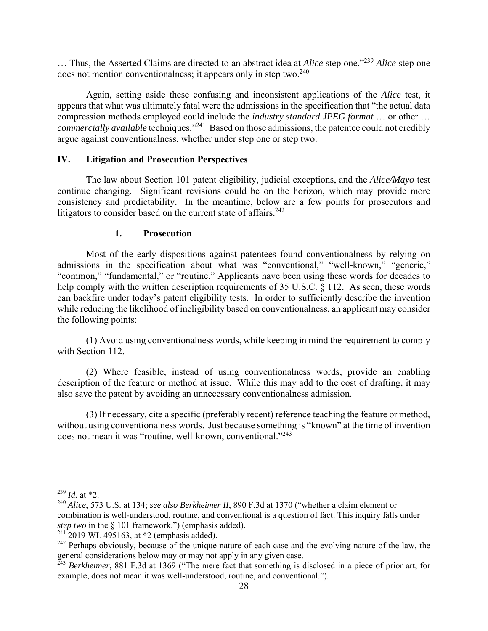… Thus, the Asserted Claims are directed to an abstract idea at *Alice* step one."239 *Alice* step one does not mention conventionalness; it appears only in step two. $240$ 

Again, setting aside these confusing and inconsistent applications of the *Alice* test, it appears that what was ultimately fatal were the admissions in the specification that "the actual data compression methods employed could include the *industry standard JPEG format* … or other … *commercially available* techniques."241 Based on those admissions, the patentee could not credibly argue against conventionalness, whether under step one or step two.

### **IV. Litigation and Prosecution Perspectives**

The law about Section 101 patent eligibility, judicial exceptions, and the *Alice/Mayo* test continue changing. Significant revisions could be on the horizon, which may provide more consistency and predictability. In the meantime, below are a few points for prosecutors and litigators to consider based on the current state of affairs.<sup>242</sup>

### **1. Prosecution**

Most of the early dispositions against patentees found conventionalness by relying on admissions in the specification about what was "conventional," "well-known," "generic," "common," "fundamental," or "routine." Applicants have been using these words for decades to help comply with the written description requirements of 35 U.S.C. § 112. As seen, these words can backfire under today's patent eligibility tests. In order to sufficiently describe the invention while reducing the likelihood of ineligibility based on conventionalness, an applicant may consider the following points:

(1) Avoid using conventionalness words, while keeping in mind the requirement to comply with Section 112.

(2) Where feasible, instead of using conventionalness words, provide an enabling description of the feature or method at issue. While this may add to the cost of drafting, it may also save the patent by avoiding an unnecessary conventionalness admission.

(3) If necessary, cite a specific (preferably recent) reference teaching the feature or method, without using conventionalness words. Just because something is "known" at the time of invention does not mean it was "routine, well-known, conventional."<sup>243</sup>

<sup>239</sup> *Id.* at \*2.

<sup>240</sup> *Alice*, 573 U.S. at 134; *see also Berkheimer II*, 890 F.3d at 1370 ("whether a claim element or combination is well-understood, routine, and conventional is a question of fact. This inquiry falls under *step two* in the § 101 framework.") (emphasis added).

 $241$  2019 WL 495163, at \*2 (emphasis added).

 $242$  Perhaps obviously, because of the unique nature of each case and the evolving nature of the law, the general considerations below may or may not apply in any given case.

<sup>243</sup> *Berkheimer*, 881 F.3d at 1369 ("The mere fact that something is disclosed in a piece of prior art, for example, does not mean it was well-understood, routine, and conventional.").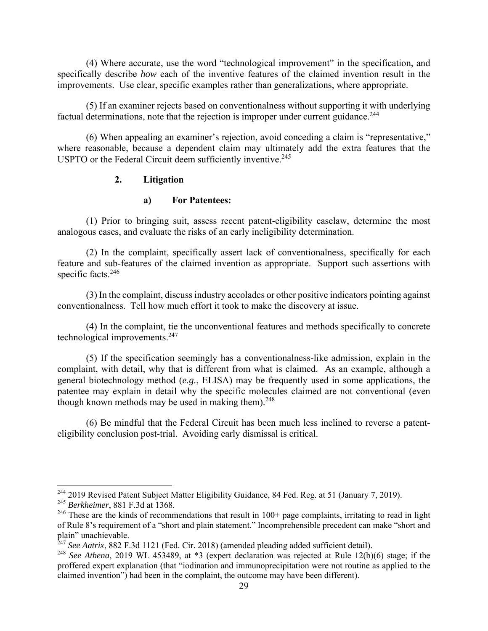(4) Where accurate, use the word "technological improvement" in the specification, and specifically describe *how* each of the inventive features of the claimed invention result in the improvements. Use clear, specific examples rather than generalizations, where appropriate.

(5) If an examiner rejects based on conventionalness without supporting it with underlying factual determinations, note that the rejection is improper under current guidance.<sup>244</sup>

(6) When appealing an examiner's rejection, avoid conceding a claim is "representative," where reasonable, because a dependent claim may ultimately add the extra features that the USPTO or the Federal Circuit deem sufficiently inventive.<sup>245</sup>

#### **2. Litigation**

#### **a) For Patentees:**

(1) Prior to bringing suit, assess recent patent-eligibility caselaw, determine the most analogous cases, and evaluate the risks of an early ineligibility determination.

(2) In the complaint, specifically assert lack of conventionalness, specifically for each feature and sub-features of the claimed invention as appropriate. Support such assertions with specific facts.<sup>246</sup>

(3) In the complaint, discuss industry accolades or other positive indicators pointing against conventionalness. Tell how much effort it took to make the discovery at issue.

(4) In the complaint, tie the unconventional features and methods specifically to concrete technological improvements.247

(5) If the specification seemingly has a conventionalness-like admission, explain in the complaint, with detail, why that is different from what is claimed. As an example, although a general biotechnology method (*e.g.*, ELISA) may be frequently used in some applications, the patentee may explain in detail why the specific molecules claimed are not conventional (even though known methods may be used in making them).  $248$ 

(6) Be mindful that the Federal Circuit has been much less inclined to reverse a patenteligibility conclusion post-trial. Avoiding early dismissal is critical.

<sup>&</sup>lt;sup>244</sup> 2019 Revised Patent Subject Matter Eligibility Guidance, 84 Fed. Reg. at 51 (January 7, 2019).

<sup>245</sup> *Berkheimer*, 881 F.3d at 1368.

<sup>&</sup>lt;sup>246</sup> These are the kinds of recommendations that result in  $100+$  page complaints, irritating to read in light of Rule 8's requirement of a "short and plain statement." Incomprehensible precedent can make "short and plain" unachievable.

<sup>247</sup> *See Aatrix*, 882 F.3d 1121 (Fed. Cir. 2018) (amended pleading added sufficient detail).

<sup>&</sup>lt;sup>248</sup> See Athena, 2019 WL 453489, at \*3 (expert declaration was rejected at Rule 12(b)(6) stage; if the proffered expert explanation (that "iodination and immunoprecipitation were not routine as applied to the claimed invention") had been in the complaint, the outcome may have been different).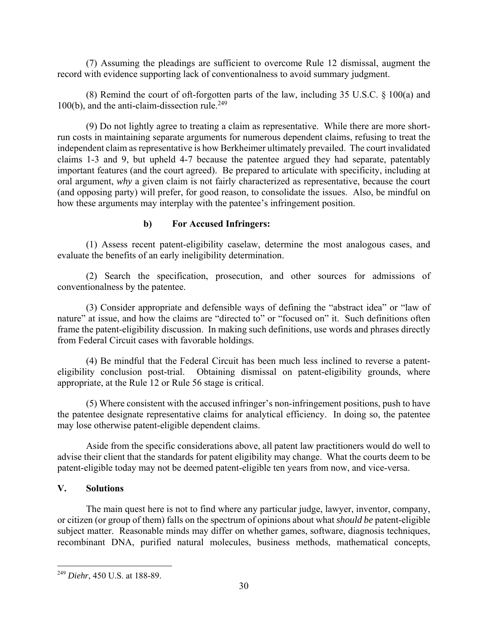(7) Assuming the pleadings are sufficient to overcome Rule 12 dismissal, augment the record with evidence supporting lack of conventionalness to avoid summary judgment.

(8) Remind the court of oft-forgotten parts of the law, including 35 U.S.C. § 100(a) and  $100(b)$ , and the anti-claim-dissection rule.<sup>249</sup>

(9) Do not lightly agree to treating a claim as representative. While there are more shortrun costs in maintaining separate arguments for numerous dependent claims, refusing to treat the independent claim as representative is how Berkheimer ultimately prevailed. The court invalidated claims 1-3 and 9, but upheld 4-7 because the patentee argued they had separate, patentably important features (and the court agreed). Be prepared to articulate with specificity, including at oral argument, *why* a given claim is not fairly characterized as representative, because the court (and opposing party) will prefer, for good reason, to consolidate the issues. Also, be mindful on how these arguments may interplay with the patentee's infringement position.

## **b) For Accused Infringers:**

(1) Assess recent patent-eligibility caselaw, determine the most analogous cases, and evaluate the benefits of an early ineligibility determination.

(2) Search the specification, prosecution, and other sources for admissions of conventionalness by the patentee.

(3) Consider appropriate and defensible ways of defining the "abstract idea" or "law of nature" at issue, and how the claims are "directed to" or "focused on" it. Such definitions often frame the patent-eligibility discussion. In making such definitions, use words and phrases directly from Federal Circuit cases with favorable holdings.

(4) Be mindful that the Federal Circuit has been much less inclined to reverse a patenteligibility conclusion post-trial. Obtaining dismissal on patent-eligibility grounds, where appropriate, at the Rule 12 or Rule 56 stage is critical.

(5) Where consistent with the accused infringer's non-infringement positions, push to have the patentee designate representative claims for analytical efficiency. In doing so, the patentee may lose otherwise patent-eligible dependent claims.

Aside from the specific considerations above, all patent law practitioners would do well to advise their client that the standards for patent eligibility may change. What the courts deem to be patent-eligible today may not be deemed patent-eligible ten years from now, and vice-versa.

### **V. Solutions**

<u>.</u>

The main quest here is not to find where any particular judge, lawyer, inventor, company, or citizen (or group of them) falls on the spectrum of opinions about what *should be* patent-eligible subject matter. Reasonable minds may differ on whether games, software, diagnosis techniques, recombinant DNA, purified natural molecules, business methods, mathematical concepts,

<sup>249</sup> *Diehr*, 450 U.S. at 188-89.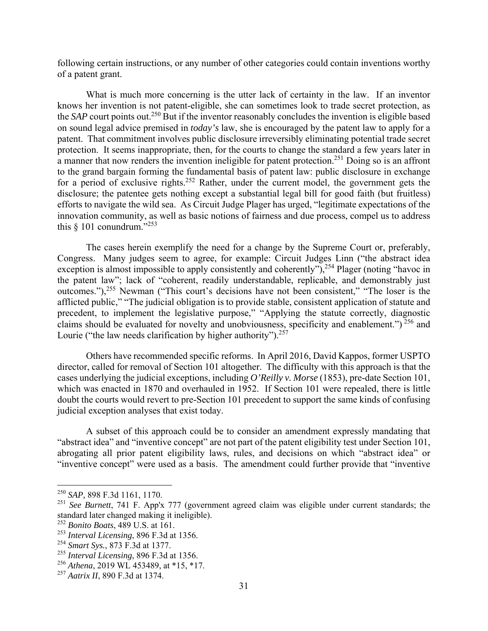following certain instructions, or any number of other categories could contain inventions worthy of a patent grant.

What is much more concerning is the utter lack of certainty in the law. If an inventor knows her invention is not patent-eligible, she can sometimes look to trade secret protection, as the *SAP* court points out.<sup>250</sup> But if the inventor reasonably concludes the invention is eligible based on sound legal advice premised in *today's* law, she is encouraged by the patent law to apply for a patent. That commitment involves public disclosure irreversibly eliminating potential trade secret protection. It seems inappropriate, then, for the courts to change the standard a few years later in a manner that now renders the invention ineligible for patent protection.251 Doing so is an affront to the grand bargain forming the fundamental basis of patent law: public disclosure in exchange for a period of exclusive rights.<sup>252</sup> Rather, under the current model, the government gets the disclosure; the patentee gets nothing except a substantial legal bill for good faith (but fruitless) efforts to navigate the wild sea. As Circuit Judge Plager has urged, "legitimate expectations of the innovation community, as well as basic notions of fairness and due process, compel us to address this  $§$  101 conundrum."<sup>253</sup>

The cases herein exemplify the need for a change by the Supreme Court or, preferably, Congress. Many judges seem to agree, for example: Circuit Judges Linn ("the abstract idea exception is almost impossible to apply consistently and coherently"),<sup>254</sup> Plager (noting "havoc in the patent law"; lack of "coherent, readily understandable, replicable, and demonstrably just outcomes."),255 Newman ("This court's decisions have not been consistent," "The loser is the afflicted public," "The judicial obligation is to provide stable, consistent application of statute and precedent, to implement the legislative purpose," "Applying the statute correctly, diagnostic claims should be evaluated for novelty and unobviousness, specificity and enablement.")<sup>256</sup> and Lourie ("the law needs clarification by higher authority").<sup>257</sup>

Others have recommended specific reforms. In April 2016, David Kappos, former USPTO director, called for removal of Section 101 altogether. The difficulty with this approach is that the cases underlying the judicial exceptions, including *O'Reilly v. Morse* (1853), pre-date Section 101, which was enacted in 1870 and overhauled in 1952. If Section 101 were repealed, there is little doubt the courts would revert to pre-Section 101 precedent to support the same kinds of confusing judicial exception analyses that exist today.

A subset of this approach could be to consider an amendment expressly mandating that "abstract idea" and "inventive concept" are not part of the patent eligibility test under Section 101, abrogating all prior patent eligibility laws, rules, and decisions on which "abstract idea" or "inventive concept" were used as a basis. The amendment could further provide that "inventive

<sup>250</sup> *SAP,* 898 F.3d 1161, 1170.

<sup>251</sup> *See Burnett*, 741 F. App'x 777 (government agreed claim was eligible under current standards; the standard later changed making it ineligible).

<sup>252</sup> *Bonito Boats*, 489 U.S. at 161.

<sup>253</sup> *Interval Licensing*, 896 F.3d at 1356.

<sup>254</sup> *Smart Sys.*, 873 F.3d at 1377.

<sup>255</sup> *Interval Licensing*, 896 F.3d at 1356.

<sup>256</sup> *Athena*, 2019 WL 453489, at \*15, \*17.

<sup>257</sup> *Aatrix II*, 890 F.3d at 1374.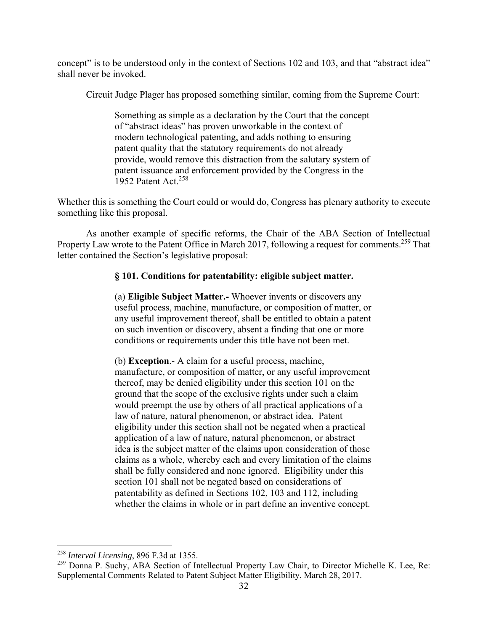concept" is to be understood only in the context of Sections 102 and 103, and that "abstract idea" shall never be invoked.

Circuit Judge Plager has proposed something similar, coming from the Supreme Court:

Something as simple as a declaration by the Court that the concept of "abstract ideas" has proven unworkable in the context of modern technological patenting, and adds nothing to ensuring patent quality that the statutory requirements do not already provide, would remove this distraction from the salutary system of patent issuance and enforcement provided by the Congress in the 1952 Patent Act.<sup>258</sup>

Whether this is something the Court could or would do, Congress has plenary authority to execute something like this proposal.

As another example of specific reforms, the Chair of the ABA Section of Intellectual Property Law wrote to the Patent Office in March 2017, following a request for comments.<sup>259</sup> That letter contained the Section's legislative proposal:

# **§ 101. Conditions for patentability: eligible subject matter.**

(a) **Eligible Subject Matter.-** Whoever invents or discovers any useful process, machine, manufacture, or composition of matter, or any useful improvement thereof, shall be entitled to obtain a patent on such invention or discovery, absent a finding that one or more conditions or requirements under this title have not been met.

(b) **Exception**.- A claim for a useful process, machine, manufacture, or composition of matter, or any useful improvement thereof, may be denied eligibility under this section 101 on the ground that the scope of the exclusive rights under such a claim would preempt the use by others of all practical applications of a law of nature, natural phenomenon, or abstract idea. Patent eligibility under this section shall not be negated when a practical application of a law of nature, natural phenomenon, or abstract idea is the subject matter of the claims upon consideration of those claims as a whole, whereby each and every limitation of the claims shall be fully considered and none ignored. Eligibility under this section 101 shall not be negated based on considerations of patentability as defined in Sections 102, 103 and 112, including whether the claims in whole or in part define an inventive concept.

<sup>258</sup> *Interval Licensing*, 896 F.3d at 1355.

<sup>&</sup>lt;sup>259</sup> Donna P. Suchy, ABA Section of Intellectual Property Law Chair, to Director Michelle K. Lee, Re: Supplemental Comments Related to Patent Subject Matter Eligibility, March 28, 2017.